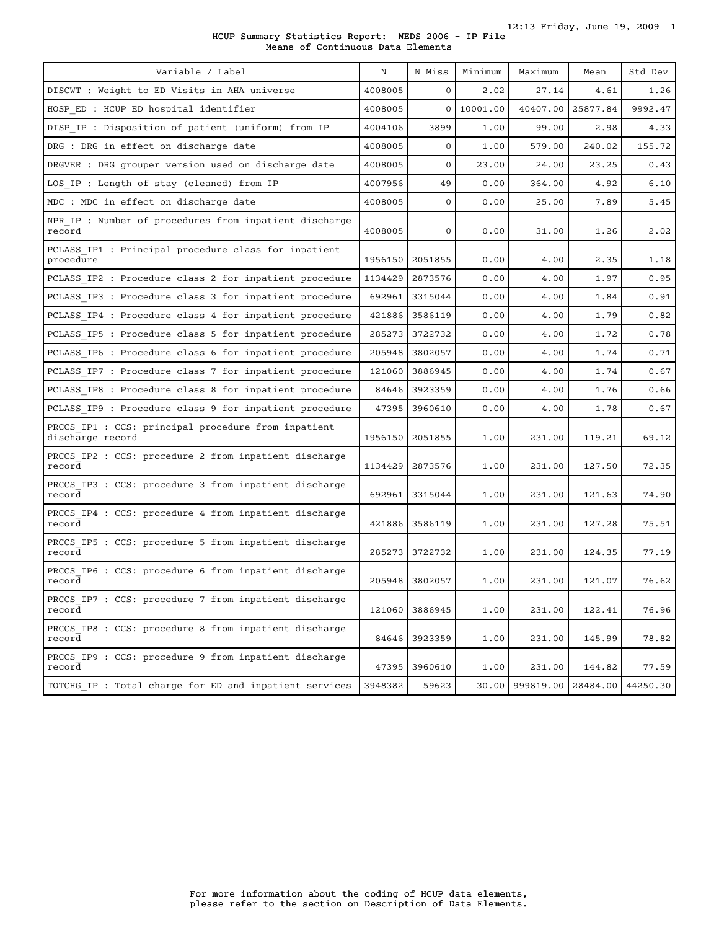## HCUP Summary Statistics Report: NEDS 2006 - IP File Means of Continuous Data Elements

| Variable / Label                                                        | N       | N Miss         | Minimum    | Maximum   | Mean     | Std Dev  |
|-------------------------------------------------------------------------|---------|----------------|------------|-----------|----------|----------|
| DISCWT : Weight to ED Visits in AHA universe                            | 4008005 | $\mathbf{0}$   | 2.02       | 27.14     | 4.61     | 1.26     |
| HOSP ED : HCUP ED hospital identifier                                   | 4008005 |                | 0 10001.00 | 40407.00  | 25877.84 | 9992.47  |
| DISP IP : Disposition of patient (uniform) from IP                      | 4004106 | 3899           | 1.00       | 99.00     | 2.98     | 4.33     |
| DRG : DRG in effect on discharge date                                   | 4008005 | $\mathbf{O}$   | 1.00       | 579.00    | 240.02   | 155.72   |
| DRGVER : DRG grouper version used on discharge date                     | 4008005 | $\mathbf{0}$   | 23.00      | 24.00     | 23.25    | 0.43     |
| LOS IP : Length of stay (cleaned) from IP                               | 4007956 | 49             | 0.00       | 364.00    | 4.92     | 6.10     |
| MDC : MDC in effect on discharge date                                   | 4008005 | $\mathbf{O}$   | 0.00       | 25.00     | 7.89     | 5.45     |
| NPR IP : Number of procedures from inpatient discharge<br>record        | 4008005 | 0              | 0.00       | 31.00     | 1.26     | 2.02     |
| PCLASS IP1 : Principal procedure class for inpatient<br>procedure       | 1956150 | 2051855        | 0.00       | 4.00      | 2.35     | 1.18     |
| PCLASS IP2 : Procedure class 2 for inpatient procedure                  | 1134429 | 2873576        | 0.00       | 4.00      | 1.97     | 0.95     |
| PCLASS IP3 : Procedure class 3 for inpatient procedure                  | 692961  | 3315044        | 0.00       | 4.00      | 1.84     | 0.91     |
| PCLASS IP4 : Procedure class 4 for inpatient procedure                  | 421886  | 3586119        | 0.00       | 4.00      | 1.79     | 0.82     |
| PCLASS IP5 : Procedure class 5 for inpatient procedure                  | 285273  | 3722732        | 0.00       | 4.00      | 1.72     | 0.78     |
| PCLASS IP6 : Procedure class 6 for inpatient procedure                  | 205948  | 3802057        | 0.00       | 4.00      | 1.74     | 0.71     |
| PCLASS IP7 : Procedure class 7 for inpatient procedure                  | 121060  | 3886945        | 0.00       | 4.00      | 1.74     | 0.67     |
| PCLASS IP8 : Procedure class 8 for inpatient procedure                  | 84646   | 3923359        | 0.00       | 4.00      | 1.76     | 0.66     |
| PCLASS IP9 : Procedure class 9 for inpatient procedure                  | 47395   | 3960610        | 0.00       | 4.00      | 1.78     | 0.67     |
| PRCCS IP1 : CCS: principal procedure from inpatient<br>discharge record | 1956150 | 2051855        | 1.00       | 231.00    | 119.21   | 69.12    |
| PRCCS IP2 : CCS: procedure 2 from inpatient discharge<br>record         | 1134429 | 2873576        | 1.00       | 231.00    | 127.50   | 72.35    |
| PRCCS IP3 : CCS: procedure 3 from inpatient discharge<br>record         | 692961  | 3315044        | 1.00       | 231.00    | 121.63   | 74.90    |
| PRCCS IP4 : CCS: procedure 4 from inpatient discharge<br>record         | 421886  | 3586119        | 1.00       | 231.00    | 127.28   | 75.51    |
| PRCCS IP5 : CCS: procedure 5 from inpatient discharge<br>record         | 285273  | 3722732        | 1.00       | 231.00    | 124.35   | 77.19    |
| PRCCS IP6 : CCS: procedure 6 from inpatient discharge<br>record         |         | 205948 3802057 | 1.00       | 231.00    | 121.07   | 76.62    |
| PRCCS IP7 : CCS: procedure 7 from inpatient discharge<br>record         | 121060  | 3886945        | 1.00       | 231.00    | 122.41   | 76.96    |
| PRCCS IP8 : CCS: procedure 8 from inpatient discharge<br>record         | 84646   | 3923359        | 1.00       | 231.00    | 145.99   | 78.82    |
| PRCCS IP9 : CCS: procedure 9 from inpatient discharge<br>record         | 47395   | 3960610        | 1.00       | 231.00    | 144.82   | 77.59    |
| TOTCHG IP : Total charge for ED and inpatient services                  | 3948382 | 59623          | 30.00      | 999819.00 | 28484.00 | 44250.30 |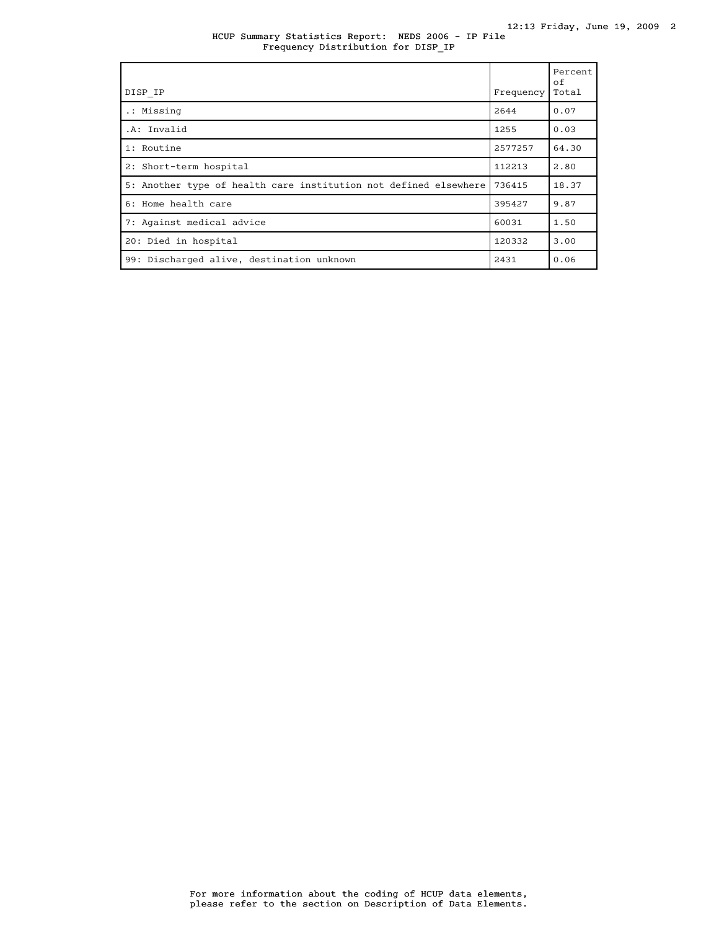HCUP Summary Statistics Report: NEDS 2006 - IP File Frequency Distribution for DISP\_IP

| DISP IP                                                          | Frequency | Percent<br>of<br>Total |
|------------------------------------------------------------------|-----------|------------------------|
| .: Missing                                                       | 2644      | 0.07                   |
| .A: Invalid                                                      | 1255      | 0.03                   |
| 1: Routine                                                       | 2577257   | 64.30                  |
| 2: Short-term hospital                                           | 112213    | 2.80                   |
| 5: Another type of health care institution not defined elsewhere | 736415    | 18.37                  |
| 6: Home health care                                              | 395427    | 9.87                   |
| 7: Against medical advice                                        | 60031     | 1.50                   |
| 20: Died in hospital                                             | 120332    | 3.00                   |
| 99: Discharged alive, destination unknown                        | 2431      | 0.06                   |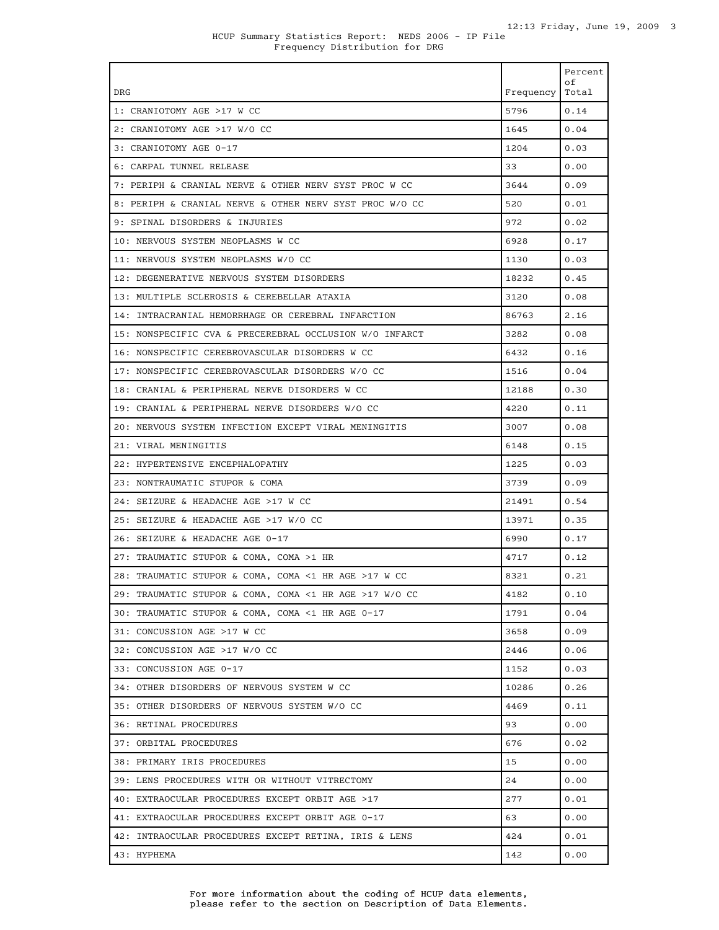|                                                         |           | Percent<br>оf |
|---------------------------------------------------------|-----------|---------------|
| <b>DRG</b>                                              | Frequency | Total         |
| 1: CRANIOTOMY AGE >17 W CC                              | 5796      | 0.14          |
| 2: CRANIOTOMY AGE >17 W/O CC                            | 1645      | 0.04          |
| 3: CRANIOTOMY AGE 0-17                                  | 1204      | 0.03          |
| 6: CARPAL TUNNEL RELEASE                                | 33        | 0.00          |
| 7: PERIPH & CRANIAL NERVE & OTHER NERV SYST PROC W CC   | 3644      | 0.09          |
| 8: PERIPH & CRANIAL NERVE & OTHER NERV SYST PROC W/O CC | 520       | 0.01          |
| 9: SPINAL DISORDERS & INJURIES                          | 972       | 0.02          |
| 10: NERVOUS SYSTEM NEOPLASMS W CC                       | 6928      | 0.17          |
| 11: NERVOUS SYSTEM NEOPLASMS W/O CC                     | 1130      | 0.03          |
| 12: DEGENERATIVE NERVOUS SYSTEM DISORDERS               | 18232     | 0.45          |
| 13: MULTIPLE SCLEROSIS & CEREBELLAR ATAXIA              | 3120      | 0.08          |
| 14: INTRACRANIAL HEMORRHAGE OR CEREBRAL INFARCTION      | 86763     | 2.16          |
| 15: NONSPECIFIC CVA & PRECEREBRAL OCCLUSION W/O INFARCT | 3282      | 0.08          |
| 16: NONSPECIFIC CEREBROVASCULAR DISORDERS W CC          | 6432      | 0.16          |
| 17: NONSPECIFIC CEREBROVASCULAR DISORDERS W/O CC        | 1516      | 0.04          |
| 18: CRANIAL & PERIPHERAL NERVE DISORDERS W CC           | 12188     | 0.30          |
| 19: CRANIAL & PERIPHERAL NERVE DISORDERS W/O CC         | 4220      | 0.11          |
| 20: NERVOUS SYSTEM INFECTION EXCEPT VIRAL MENINGITIS    | 3007      | 0.08          |
| 21: VIRAL MENINGITIS                                    | 6148      | 0.15          |
| 22: HYPERTENSIVE ENCEPHALOPATHY                         | 1225      | 0.03          |
| 23: NONTRAUMATIC STUPOR & COMA                          | 3739      | 0.09          |
| 24: SEIZURE & HEADACHE AGE >17 W CC                     | 21491     | 0.54          |
| 25: SEIZURE & HEADACHE AGE >17 W/O CC                   | 13971     | 0.35          |
| 26: SEIZURE & HEADACHE AGE 0-17                         | 6990      | 0.17          |
| 27: TRAUMATIC STUPOR & COMA, COMA >1 HR                 | 4717      | 0.12          |
| 28: TRAUMATIC STUPOR & COMA, COMA <1 HR AGE >17 W CC    | 8321      | 0.21          |
| 29: TRAUMATIC STUPOR & COMA, COMA <1 HR AGE >17 W/O CC  | 4182      | 0.10          |
| 30: TRAUMATIC STUPOR & COMA, COMA <1 HR AGE 0-17        | 1791      | 0.04          |
| 31: CONCUSSION AGE >17 W CC                             | 3658      | 0.09          |
| 32: CONCUSSION AGE >17 W/O CC                           | 2446      | 0.06          |
| 33: CONCUSSION AGE 0-17                                 | 1152      | 0.03          |
| 34: OTHER DISORDERS OF NERVOUS SYSTEM W CC              | 10286     | 0.26          |
| 35: OTHER DISORDERS OF NERVOUS SYSTEM W/O CC            | 4469      | 0.11          |
| 36: RETINAL PROCEDURES                                  | 93        | 0.00          |
| 37: ORBITAL PROCEDURES                                  | 676       | 0.02          |
| 38: PRIMARY IRIS PROCEDURES                             | 15        | 0.00          |
| 39: LENS PROCEDURES WITH OR WITHOUT VITRECTOMY          | 24        | 0.00          |
| 40: EXTRAOCULAR PROCEDURES EXCEPT ORBIT AGE >17         | 277       | 0.01          |
| 41: EXTRAOCULAR PROCEDURES EXCEPT ORBIT AGE 0-17        | 63        | 0.00          |
| 42: INTRAOCULAR PROCEDURES EXCEPT RETINA, IRIS & LENS   | 424       | 0.01          |
| 43: HYPHEMA                                             | 142       | 0.00          |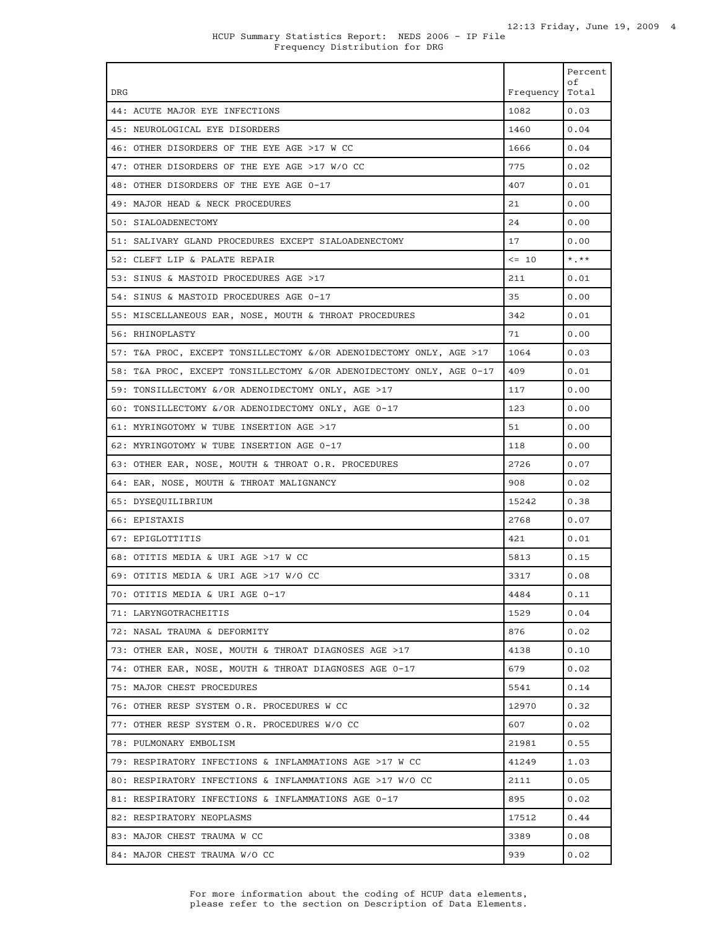| <b>DRG</b>                                                           | Frequency | Percent<br>οf<br>Total |
|----------------------------------------------------------------------|-----------|------------------------|
| 44: ACUTE MAJOR EYE INFECTIONS                                       | 1082      | 0.03                   |
| 45: NEUROLOGICAL EYE DISORDERS                                       | 1460      | 0.04                   |
| 46: OTHER DISORDERS OF THE EYE AGE >17 W CC                          | 1666      | 0.04                   |
| 47: OTHER DISORDERS OF THE EYE AGE >17 W/O CC                        | 775       | 0.02                   |
| 48: OTHER DISORDERS OF THE EYE AGE 0-17                              | 407       | 0.01                   |
| 49: MAJOR HEAD & NECK PROCEDURES                                     | 21        | 0.00                   |
| 50: STALOADENECTOMY                                                  | 24        | 0.00                   |
| 51: SALIVARY GLAND PROCEDURES EXCEPT SIALOADENECTOMY                 | 17        | 0.00                   |
| 52: CLEFT LIP & PALATE REPAIR                                        | $\leq$ 10 | $*$ , $**$             |
| 53: SINUS & MASTOID PROCEDURES AGE >17                               | 211       | 0.01                   |
| 54: SINUS & MASTOID PROCEDURES AGE 0-17                              | 35        | 0.00                   |
| 55: MISCELLANEOUS EAR, NOSE, MOUTH & THROAT PROCEDURES               | 342       | 0.01                   |
| 56: RHINOPLASTY                                                      | 71        | 0.00                   |
| 57: T&A PROC, EXCEPT TONSILLECTOMY &/OR ADENOIDECTOMY ONLY, AGE >17  | 1064      | 0.03                   |
| 58: T&A PROC, EXCEPT TONSILLECTOMY &/OR ADENOIDECTOMY ONLY, AGE 0-17 | 409       | 0.01                   |
| 59: TONSILLECTOMY &/OR ADENOIDECTOMY ONLY, AGE >17                   | 117       | 0.00                   |
| 60: TONSILLECTOMY &/OR ADENOIDECTOMY ONLY, AGE 0-17                  | 123       | 0.00                   |
| 61: MYRINGOTOMY W TUBE INSERTION AGE >17                             | 51        | 0.00                   |
| 62: MYRINGOTOMY W TUBE INSERTION AGE 0-17                            | 118       | 0.00                   |
| 63: OTHER EAR, NOSE, MOUTH & THROAT O.R. PROCEDURES                  | 2726      | 0.07                   |
| 64: EAR, NOSE, MOUTH & THROAT MALIGNANCY                             | 908       | 0.02                   |
| 65: DYSEQUILIBRIUM                                                   | 15242     | 0.38                   |
| 66: EPISTAXIS                                                        | 2768      | 0.07                   |
| 67: EPIGLOTTITIS                                                     | 421       | 0.01                   |
| 68: OTITIS MEDIA & URI AGE >17 W CC                                  | 5813      | 0.15                   |
| 69: OTITIS MEDIA & URI AGE >17 W/O CC                                | 3317      | 0.08                   |
| 70: OTITIS MEDIA & URI AGE 0-17                                      | 4484      | 0.11                   |
| 71: LARYNGOTRACHEITIS                                                | 1529      | 0.04                   |
| 72: NASAL TRAUMA & DEFORMITY                                         | 876       | 0.02                   |
| 73: OTHER EAR, NOSE, MOUTH & THROAT DIAGNOSES AGE >17                | 4138      | 0.10                   |
| 74: OTHER EAR, NOSE, MOUTH & THROAT DIAGNOSES AGE 0-17               | 679       | 0.02                   |
| 75: MAJOR CHEST PROCEDURES                                           | 5541      | 0.14                   |
| 76: OTHER RESP SYSTEM O.R. PROCEDURES W CC                           | 12970     | 0.32                   |
| 77: OTHER RESP SYSTEM O.R. PROCEDURES W/O CC                         | 607       | 0.02                   |
| 78: PULMONARY EMBOLISM                                               | 21981     | 0.55                   |
| 79: RESPIRATORY INFECTIONS & INFLAMMATIONS AGE >17 W CC              | 41249     | 1.03                   |
| 80: RESPIRATORY INFECTIONS & INFLAMMATIONS AGE >17 W/O CC            | 2111      | 0.05                   |
| 81: RESPIRATORY INFECTIONS & INFLAMMATIONS AGE 0-17                  | 895       | 0.02                   |
| 82: RESPIRATORY NEOPLASMS                                            | 17512     | 0.44                   |
| 83: MAJOR CHEST TRAUMA W CC                                          | 3389      | 0.08                   |
| 84: MAJOR CHEST TRAUMA W/O CC                                        | 939       | 0.02                   |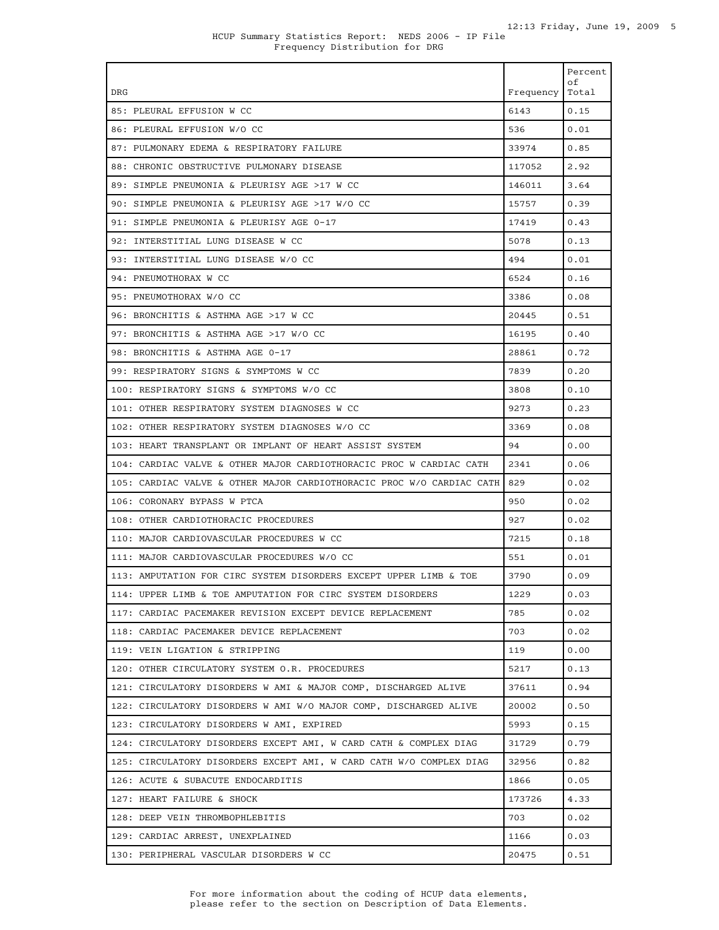| DRG                                                                   | Frequency | Percent<br>οf<br>Total |
|-----------------------------------------------------------------------|-----------|------------------------|
| 85: PLEURAL EFFUSION W CC                                             | 6143      | 0.15                   |
| 86: PLEURAL EFFUSION W/O CC                                           | 536       | 0.01                   |
| 87: PULMONARY EDEMA & RESPIRATORY FAILURE                             | 33974     | 0.85                   |
| 88: CHRONIC OBSTRUCTIVE PULMONARY DISEASE                             | 117052    | 2.92                   |
| 89: SIMPLE PNEUMONIA & PLEURISY AGE >17 W CC                          | 146011    | 3.64                   |
| 90: SIMPLE PNEUMONIA & PLEURISY AGE >17 W/O CC                        | 15757     | 0.39                   |
| 91: SIMPLE PNEUMONIA & PLEURISY AGE 0-17                              | 17419     | 0.43                   |
| 92: INTERSTITIAL LUNG DISEASE W CC                                    | 5078      | 0.13                   |
| 93: INTERSTITIAL LUNG DISEASE W/O CC                                  | 494       | 0.01                   |
| 94: PNEUMOTHORAX W CC                                                 | 6524      | 0.16                   |
| 95: PNEUMOTHORAX W/O CC                                               | 3386      | 0.08                   |
| 96: BRONCHITIS & ASTHMA AGE >17 W CC                                  | 20445     | 0.51                   |
| 97: BRONCHITIS & ASTHMA AGE >17 W/O CC                                | 16195     | 0.40                   |
| 98: BRONCHITIS & ASTHMA AGE 0-17                                      | 28861     | 0.72                   |
| 99: RESPIRATORY SIGNS & SYMPTOMS W CC                                 | 7839      | 0.20                   |
| 100: RESPIRATORY SIGNS & SYMPTOMS W/O CC                              | 3808      | 0.10                   |
| 101: OTHER RESPIRATORY SYSTEM DIAGNOSES W CC                          | 9273      | 0.23                   |
| 102: OTHER RESPIRATORY SYSTEM DIAGNOSES W/O CC                        | 3369      | 0.08                   |
| 103: HEART TRANSPLANT OR IMPLANT OF HEART ASSIST SYSTEM               | 94        | 0.00                   |
| 104: CARDIAC VALVE & OTHER MAJOR CARDIOTHORACIC PROC W CARDIAC CATH   | 2341      | 0.06                   |
| 105: CARDIAC VALVE & OTHER MAJOR CARDIOTHORACIC PROC W/O CARDIAC CATH | 829       | 0.02                   |
| 106: CORONARY BYPASS W PTCA                                           | 950       | 0.02                   |
| 108: OTHER CARDIOTHORACIC PROCEDURES                                  | 927       | 0.02                   |
| 110: MAJOR CARDIOVASCULAR PROCEDURES W CC                             | 7215      | 0.18                   |
| 111: MAJOR CARDIOVASCULAR PROCEDURES W/O CC                           | 551       | 0.01                   |
| 113: AMPUTATION FOR CIRC SYSTEM DISORDERS EXCEPT UPPER LIMB & TOE     | 3790      | 0.09                   |
| 114: UPPER LIMB & TOE AMPUTATION FOR CIRC SYSTEM DISORDERS            | 1229      | 0.03                   |
| 117: CARDIAC PACEMAKER REVISION EXCEPT DEVICE REPLACEMENT             | 785       | 0.02                   |
| 118: CARDIAC PACEMAKER DEVICE REPLACEMENT                             | 703       | 0.02                   |
| 119: VEIN LIGATION & STRIPPING                                        | 119       | 0.00                   |
| 120: OTHER CIRCULATORY SYSTEM O.R. PROCEDURES                         | 5217      | 0.13                   |
| 121: CIRCULATORY DISORDERS W AMI & MAJOR COMP, DISCHARGED ALIVE       | 37611     | 0.94                   |
| 122: CIRCULATORY DISORDERS W AMI W/O MAJOR COMP, DISCHARGED ALIVE     | 20002     | 0.50                   |
| 123: CIRCULATORY DISORDERS W AMI, EXPIRED                             | 5993      | 0.15                   |
| 124: CIRCULATORY DISORDERS EXCEPT AMI, W CARD CATH & COMPLEX DIAG     | 31729     | 0.79                   |
| 125: CIRCULATORY DISORDERS EXCEPT AMI, W CARD CATH W/O COMPLEX DIAG   | 32956     | 0.82                   |
| 126: ACUTE & SUBACUTE ENDOCARDITIS                                    | 1866      | 0.05                   |
| 127: HEART FAILURE & SHOCK                                            | 173726    | 4.33                   |
| 128: DEEP VEIN THROMBOPHLEBITIS                                       | 703       | 0.02                   |
| 129: CARDIAC ARREST, UNEXPLAINED                                      | 1166      | 0.03                   |
| 130: PERIPHERAL VASCULAR DISORDERS W CC                               | 20475     | 0.51                   |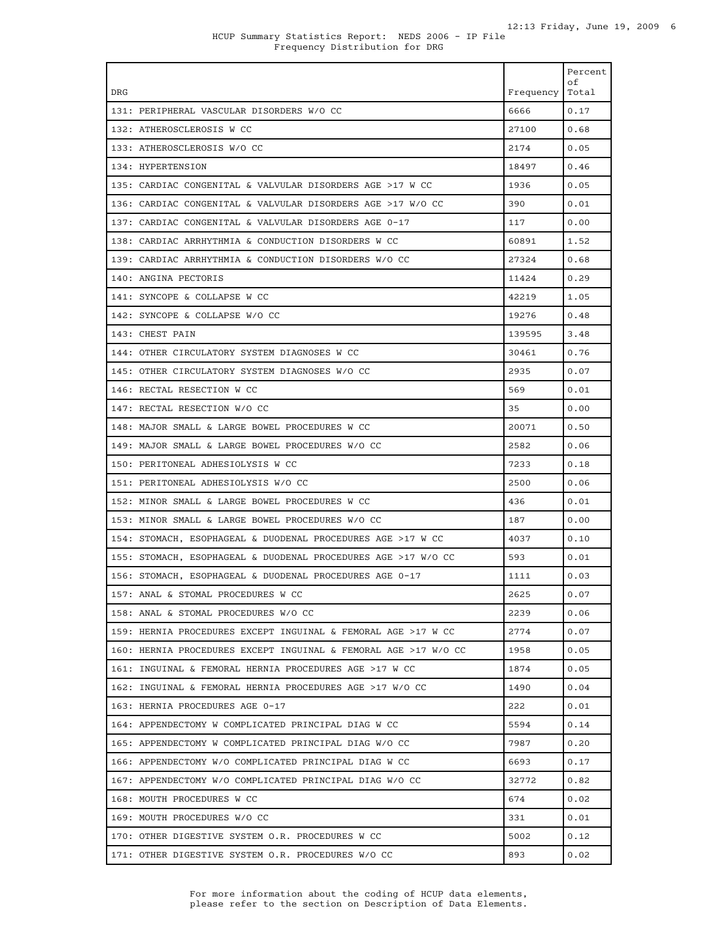| DRG                                                             | Frequency | Percent<br>οf<br>Total |
|-----------------------------------------------------------------|-----------|------------------------|
| 131: PERIPHERAL VASCULAR DISORDERS W/O CC                       | 6666      | 0.17                   |
| 132: ATHEROSCLEROSIS W CC                                       | 27100     | 0.68                   |
| 133: ATHEROSCLEROSIS W/O CC                                     | 2174      | 0.05                   |
| 134: HYPERTENSION                                               | 18497     | 0.46                   |
| 135: CARDIAC CONGENITAL & VALVULAR DISORDERS AGE >17 W CC       | 1936      | 0.05                   |
| 136: CARDIAC CONGENITAL & VALVULAR DISORDERS AGE >17 W/O CC     | 390       | 0.01                   |
| 137: CARDIAC CONGENITAL & VALVULAR DISORDERS AGE 0-17           | 117       | 0.00                   |
| 138: CARDIAC ARRHYTHMIA & CONDUCTION DISORDERS W CC             | 60891     | 1.52                   |
| 139: CARDIAC ARRHYTHMIA & CONDUCTION DISORDERS W/O CC           | 27324     | 0.68                   |
| 140: ANGINA PECTORIS                                            | 11424     | 0.29                   |
| 141: SYNCOPE & COLLAPSE W CC                                    | 42219     | 1.05                   |
| 142: SYNCOPE & COLLAPSE W/O CC                                  | 19276     | 0.48                   |
| 143: CHEST PAIN                                                 | 139595    | 3.48                   |
| 144: OTHER CIRCULATORY SYSTEM DIAGNOSES W CC                    | 30461     | 0.76                   |
| 145: OTHER CIRCULATORY SYSTEM DIAGNOSES W/O CC                  | 2935      | 0.07                   |
| 146: RECTAL RESECTION W CC                                      | 569       | 0.01                   |
| 147: RECTAL RESECTION W/O CC                                    | 35        | 0.00                   |
| 148: MAJOR SMALL & LARGE BOWEL PROCEDURES W CC                  | 20071     | 0.50                   |
| 149: MAJOR SMALL & LARGE BOWEL PROCEDURES W/O CC                | 2582      | 0.06                   |
| 150: PERITONEAL ADHESIOLYSIS W CC                               | 7233      | 0.18                   |
| 151: PERITONEAL ADHESIOLYSIS W/O CC                             | 2500      | 0.06                   |
| 152: MINOR SMALL & LARGE BOWEL PROCEDURES W CC                  | 436       | 0.01                   |
| 153: MINOR SMALL & LARGE BOWEL PROCEDURES W/O CC                | 187       | 0.00                   |
| 154: STOMACH, ESOPHAGEAL & DUODENAL PROCEDURES AGE >17 W CC     | 4037      | 0.10                   |
| 155: STOMACH, ESOPHAGEAL & DUODENAL PROCEDURES AGE >17 W/O CC   | 593       | 0.01                   |
| 156: STOMACH, ESOPHAGEAL & DUODENAL PROCEDURES AGE 0-17         | 1111      | 0.03                   |
| 157: ANAL & STOMAL PROCEDURES W CC                              | 2625      | 0.07                   |
| 158: ANAL & STOMAL PROCEDURES W/O CC                            | 2239      | 0.06                   |
| 159: HERNIA PROCEDURES EXCEPT INGUINAL & FEMORAL AGE >17 W CC   | 2774      | 0.07                   |
| 160: HERNIA PROCEDURES EXCEPT INGUINAL & FEMORAL AGE >17 W/O CC | 1958      | 0.05                   |
| 161: INGUINAL & FEMORAL HERNIA PROCEDURES AGE >17 W CC          | 1874      | 0.05                   |
| 162: INGUINAL & FEMORAL HERNIA PROCEDURES AGE >17 W/O CC        | 1490      | 0.04                   |
| 163: HERNIA PROCEDURES AGE 0-17                                 | 222       | 0.01                   |
| 164: APPENDECTOMY W COMPLICATED PRINCIPAL DIAG W CC             | 5594      | 0.14                   |
| 165: APPENDECTOMY W COMPLICATED PRINCIPAL DIAG W/O CC           | 7987      | 0.20                   |
| 166: APPENDECTOMY W/O COMPLICATED PRINCIPAL DIAG W CC           | 6693      | 0.17                   |
| 167: APPENDECTOMY W/O COMPLICATED PRINCIPAL DIAG W/O CC         | 32772     | 0.82                   |
| 168: MOUTH PROCEDURES W CC                                      | 674       | 0.02                   |
| 169: MOUTH PROCEDURES W/O CC                                    | 331       | 0.01                   |
| 170: OTHER DIGESTIVE SYSTEM O.R. PROCEDURES W CC                | 5002      | 0.12                   |
| 171: OTHER DIGESTIVE SYSTEM O.R. PROCEDURES W/O CC              | 893       | 0.02                   |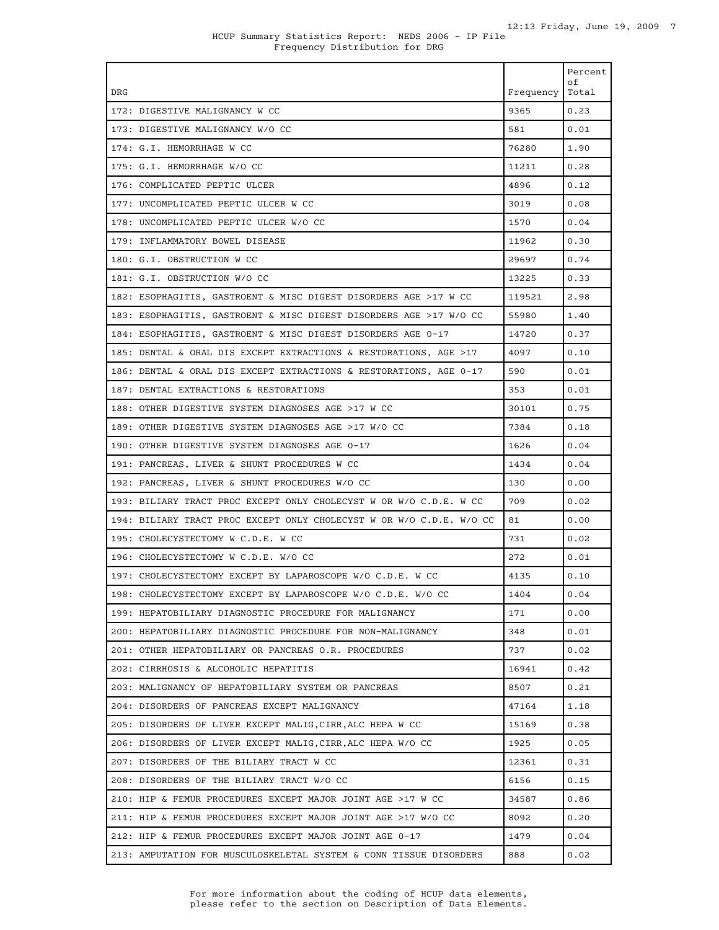| DRG                                                                  | Frequency | Percent<br>оf<br>Total |
|----------------------------------------------------------------------|-----------|------------------------|
| 172: DIGESTIVE MALIGNANCY W CC                                       | 9365      | 0.23                   |
| 173: DIGESTIVE MALIGNANCY W/O CC                                     | 581       | 0.01                   |
| 174: G.I. HEMORRHAGE W CC                                            | 76280     | 1.90                   |
| 175: G.I. HEMORRHAGE W/O CC                                          | 11211     | 0.28                   |
| 176: COMPLICATED PEPTIC ULCER                                        | 4896      | 0.12                   |
| 177: UNCOMPLICATED PEPTIC ULCER W CC                                 | 3019      | 0.08                   |
| 178: UNCOMPLICATED PEPTIC ULCER W/O CC                               | 1570      | 0.04                   |
| 179: INFLAMMATORY BOWEL DISEASE                                      | 11962     | 0.30                   |
| 180: G.I. OBSTRUCTION W CC                                           | 29697     | 0.74                   |
| 181: G.I. OBSTRUCTION W/O CC                                         | 13225     | 0.33                   |
| 182: ESOPHAGITIS, GASTROENT & MISC DIGEST DISORDERS AGE >17 W CC     | 119521    | 2.98                   |
| 183: ESOPHAGITIS, GASTROENT & MISC DIGEST DISORDERS AGE >17 W/O CC   | 55980     | 1.40                   |
| 184: ESOPHAGITIS, GASTROENT & MISC DIGEST DISORDERS AGE 0-17         | 14720     | 0.37                   |
| 185: DENTAL & ORAL DIS EXCEPT EXTRACTIONS & RESTORATIONS, AGE >17    | 4097      | 0.10                   |
| 186: DENTAL & ORAL DIS EXCEPT EXTRACTIONS & RESTORATIONS, AGE 0-17   | 590       | 0.01                   |
| 187: DENTAL EXTRACTIONS & RESTORATIONS                               | 353       | 0.01                   |
| 188: OTHER DIGESTIVE SYSTEM DIAGNOSES AGE >17 W CC                   | 30101     | 0.75                   |
| 189: OTHER DIGESTIVE SYSTEM DIAGNOSES AGE >17 W/O CC                 | 7384      | 0.18                   |
| 190: OTHER DIGESTIVE SYSTEM DIAGNOSES AGE 0-17                       | 1626      | 0.04                   |
| 191: PANCREAS, LIVER & SHUNT PROCEDURES W CC                         | 1434      | 0.04                   |
| 192: PANCREAS, LIVER & SHUNT PROCEDURES W/O CC                       | 130       | 0.00                   |
| 193: BILIARY TRACT PROC EXCEPT ONLY CHOLECYST W OR W/O C.D.E. W CC   | 709       | 0.02                   |
| 194: BILIARY TRACT PROC EXCEPT ONLY CHOLECYST W OR W/O C.D.E. W/O CC | 81        | 0.00                   |
| 195: CHOLECYSTECTOMY W C.D.E. W CC                                   | 731       | 0.02                   |
| 196: CHOLECYSTECTOMY W C.D.E. W/O CC                                 | 272       | 0.01                   |
| 197: CHOLECYSTECTOMY EXCEPT BY LAPAROSCOPE W/O C.D.E. W CC           | 4135      | 0.10                   |
| 198: CHOLECYSTECTOMY EXCEPT BY LAPAROSCOPE W/O C.D.E. W/O CC         | 1404      | 0.04                   |
| 199: HEPATOBILIARY DIAGNOSTIC PROCEDURE FOR MALIGNANCY               | 171       | 0.00                   |
| 200: HEPATOBILIARY DIAGNOSTIC PROCEDURE FOR NON-MALIGNANCY           | 348       | 0.01                   |
| 201: OTHER HEPATOBILIARY OR PANCREAS O.R. PROCEDURES                 | 737       | 0.02                   |
| 202: CIRRHOSIS & ALCOHOLIC HEPATITIS                                 | 16941     | 0.42                   |
| 203: MALIGNANCY OF HEPATOBILIARY SYSTEM OR PANCREAS                  | 8507      | 0.21                   |
| 204: DISORDERS OF PANCREAS EXCEPT MALIGNANCY                         | 47164     | 1.18                   |
| 205: DISORDERS OF LIVER EXCEPT MALIG, CIRR, ALC HEPA W CC            | 15169     | 0.38                   |
| 206: DISORDERS OF LIVER EXCEPT MALIG, CIRR, ALC HEPA W/O CC          | 1925      | 0.05                   |
| 207: DISORDERS OF THE BILIARY TRACT W CC                             | 12361     | 0.31                   |
| 208: DISORDERS OF THE BILIARY TRACT W/O CC                           | 6156      | 0.15                   |
| 210: HIP & FEMUR PROCEDURES EXCEPT MAJOR JOINT AGE >17 W CC          | 34587     | 0.86                   |
| 211: HIP & FEMUR PROCEDURES EXCEPT MAJOR JOINT AGE >17 W/O CC        | 8092      | 0.20                   |
| 212: HIP & FEMUR PROCEDURES EXCEPT MAJOR JOINT AGE 0-17              | 1479      | 0.04                   |
| 213: AMPUTATION FOR MUSCULOSKELETAL SYSTEM & CONN TISSUE DISORDERS   | 888       | 0.02                   |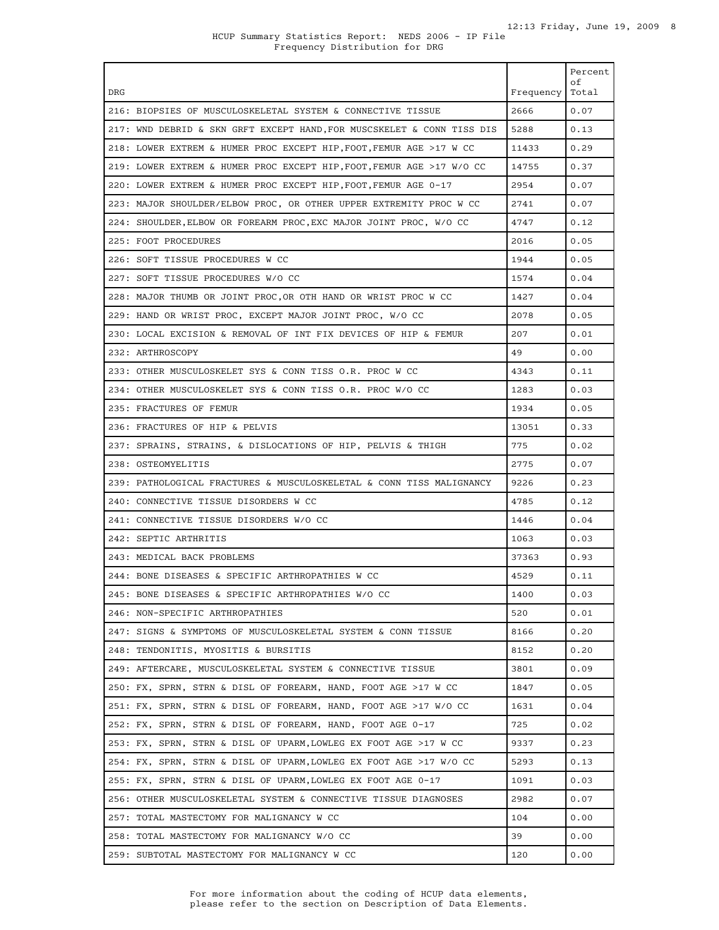| <b>DRG</b>                                                             | Frequency | Percent<br>оf<br>Total |
|------------------------------------------------------------------------|-----------|------------------------|
| 216: BIOPSIES OF MUSCULOSKELETAL SYSTEM & CONNECTIVE TISSUE            | 2666      | 0.07                   |
| 217: WND DEBRID & SKN GRFT EXCEPT HAND, FOR MUSCSKELET & CONN TISS DIS | 5288      | 0.13                   |
| 218: LOWER EXTREM & HUMER PROC EXCEPT HIP, FOOT, FEMUR AGE >17 W CC    | 11433     | 0.29                   |
| 219: LOWER EXTREM & HUMER PROC EXCEPT HIP, FOOT, FEMUR AGE >17 W/O CC  | 14755     | 0.37                   |
| 220: LOWER EXTREM & HUMER PROC EXCEPT HIP, FOOT, FEMUR AGE 0-17        | 2954      | 0.07                   |
| 223: MAJOR SHOULDER/ELBOW PROC, OR OTHER UPPER EXTREMITY PROC W CC     | 2741      | 0.07                   |
| 224: SHOULDER, ELBOW OR FOREARM PROC, EXC MAJOR JOINT PROC, W/O CC     | 4747      | 0.12                   |
| 225: FOOT PROCEDURES                                                   | 2016      | 0.05                   |
| 226: SOFT TISSUE PROCEDURES W CC                                       | 1944      | 0.05                   |
| 227: SOFT TISSUE PROCEDURES W/O CC                                     | 1574      | 0.04                   |
| 228: MAJOR THUMB OR JOINT PROC. OR OTH HAND OR WRIST PROC W CC         | 1427      | 0.04                   |
| 229: HAND OR WRIST PROC, EXCEPT MAJOR JOINT PROC, W/O CC               | 2078      | 0.05                   |
| 230: LOCAL EXCISION & REMOVAL OF INT FIX DEVICES OF HIP & FEMUR        | 207       | 0.01                   |
| 232: ARTHROSCOPY                                                       | 49        | 0.00                   |
| 233: OTHER MUSCULOSKELET SYS & CONN TISS O.R. PROC W CC                | 4343      | 0.11                   |
| 234: OTHER MUSCULOSKELET SYS & CONN TISS O.R. PROC W/O CC              | 1283      | 0.03                   |
| 235: FRACTURES OF FEMUR                                                | 1934      | 0.05                   |
| 236: FRACTURES OF HIP & PELVIS                                         | 13051     | 0.33                   |
| 237: SPRAINS, STRAINS, & DISLOCATIONS OF HIP, PELVIS & THIGH           | 775       | 0.02                   |
| 238: OSTEOMYELITIS                                                     | 2775      | 0.07                   |
| 239: PATHOLOGICAL FRACTURES & MUSCULOSKELETAL & CONN TISS MALIGNANCY   | 9226      | 0.23                   |
| 240: CONNECTIVE TISSUE DISORDERS W CC                                  | 4785      | 0.12                   |
| 241: CONNECTIVE TISSUE DISORDERS W/O CC                                | 1446      | 0.04                   |
| 242: SEPTIC ARTHRITIS                                                  | 1063      | 0.03                   |
| 243: MEDICAL BACK PROBLEMS                                             | 37363     | 0.93                   |
| 244: BONE DISEASES & SPECIFIC ARTHROPATHIES W CC                       | 4529      | 0.11                   |
| 245: BONE DISEASES & SPECIFIC ARTHROPATHIES W/O CC                     | 1400      | 0.03                   |
| 246: NON-SPECIFIC ARTHROPATHIES                                        | 520       | 0.01                   |
| 247: SIGNS & SYMPTOMS OF MUSCULOSKELETAL SYSTEM & CONN TISSUE          | 8166      | 0.20                   |
| 248: TENDONITIS, MYOSITIS & BURSITIS                                   | 8152      | 0.20                   |
| 249: AFTERCARE, MUSCULOSKELETAL SYSTEM & CONNECTIVE TISSUE             | 3801      | 0.09                   |
| 250: FX, SPRN, STRN & DISL OF FOREARM, HAND, FOOT AGE >17 W CC         | 1847      | 0.05                   |
| 251: FX, SPRN, STRN & DISL OF FOREARM, HAND, FOOT AGE >17 W/O CC       | 1631      | 0.04                   |
| 252: FX, SPRN, STRN & DISL OF FOREARM, HAND, FOOT AGE 0-17             | 725       | 0.02                   |
| 253: FX, SPRN, STRN & DISL OF UPARM, LOWLEG EX FOOT AGE >17 W CC       | 9337      | 0.23                   |
| 254: FX, SPRN, STRN & DISL OF UPARM, LOWLEG EX FOOT AGE >17 W/O CC     | 5293      | 0.13                   |
| 255: FX, SPRN, STRN & DISL OF UPARM, LOWLEG EX FOOT AGE 0-17           | 1091      | 0.03                   |
| 256: OTHER MUSCULOSKELETAL SYSTEM & CONNECTIVE TISSUE DIAGNOSES        | 2982      | 0.07                   |
| 257: TOTAL MASTECTOMY FOR MALIGNANCY W CC                              | 104       | 0.00                   |
| 258: TOTAL MASTECTOMY FOR MALIGNANCY W/O CC                            | 39        | 0.00                   |
| 259: SUBTOTAL MASTECTOMY FOR MALIGNANCY W CC                           | 120       | 0.00                   |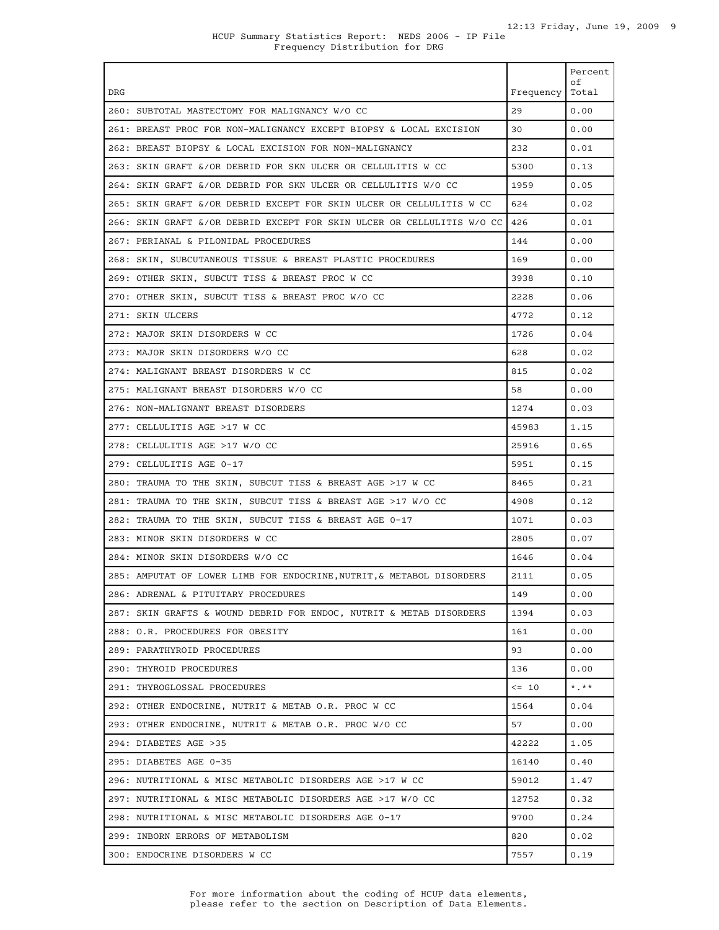|                                                                        |                         | Percent<br>оf |
|------------------------------------------------------------------------|-------------------------|---------------|
| DRG                                                                    | Frequency   Total<br>29 | 0.00          |
| 260: SUBTOTAL MASTECTOMY FOR MALIGNANCY W/O CC                         |                         |               |
| 261: BREAST PROC FOR NON-MALIGNANCY EXCEPT BIOPSY & LOCAL EXCISION     | 30                      | 0.00          |
| 262: BREAST BIOPSY & LOCAL EXCISION FOR NON-MALIGNANCY                 | 232                     | 0.01          |
| 263: SKIN GRAFT &/OR DEBRID FOR SKN ULCER OR CELLULITIS W CC           | 5300                    | 0.13          |
| 264: SKIN GRAFT &/OR DEBRID FOR SKN ULCER OR CELLULITIS W/O CC         | 1959                    | 0.05          |
| 265: SKIN GRAFT &/OR DEBRID EXCEPT FOR SKIN ULCER OR CELLULITIS W CC   | 624                     | 0.02          |
| 266: SKIN GRAFT &/OR DEBRID EXCEPT FOR SKIN ULCER OR CELLULITIS W/O CC | 426                     | 0.01          |
| 267: PERIANAL & PILONIDAL PROCEDURES                                   | 144                     | 0.00          |
| 268: SKIN, SUBCUTANEOUS TISSUE & BREAST PLASTIC PROCEDURES             | 169                     | 0.00          |
| 269: OTHER SKIN, SUBCUT TISS & BREAST PROC W CC                        | 3938                    | 0.10          |
| 270: OTHER SKIN, SUBCUT TISS & BREAST PROC W/O CC                      | 2228                    | 0.06          |
| 271: SKIN ULCERS                                                       | 4772                    | 0.12          |
| 272: MAJOR SKIN DISORDERS W CC                                         | 1726                    | 0.04          |
| 273: MAJOR SKIN DISORDERS W/O CC                                       | 628                     | 0.02          |
| 274: MALIGNANT BREAST DISORDERS W CC                                   | 815                     | 0.02          |
| 275: MALIGNANT BREAST DISORDERS W/O CC                                 | 58                      | 0.00          |
| 276: NON-MALIGNANT BREAST DISORDERS                                    | 1274                    | 0.03          |
| 277: CELLULITIS AGE >17 W CC                                           | 45983                   | 1.15          |
| 278: CELLULITIS AGE >17 W/O CC                                         | 25916                   | 0.65          |
| 279: CELLULITIS AGE 0-17                                               | 5951                    | 0.15          |
| 280: TRAUMA TO THE SKIN, SUBCUT TISS & BREAST AGE >17 W CC             | 8465                    | 0.21          |
| 281: TRAUMA TO THE SKIN, SUBCUT TISS & BREAST AGE >17 W/O CC           | 4908                    | 0.12          |
| 282: TRAUMA TO THE SKIN, SUBCUT TISS & BREAST AGE 0-17                 | 1071                    | 0.03          |
| 283: MINOR SKIN DISORDERS W CC                                         | 2805                    | 0.07          |
| 284: MINOR SKIN DISORDERS W/O CC                                       | 1646                    | 0.04          |
| 285: AMPUTAT OF LOWER LIMB FOR ENDOCRINE, NUTRIT, & METABOL DISORDERS  | 2111                    | 0.05          |
| 286: ADRENAL & PITUITARY PROCEDURES                                    | 149                     | 0.00          |
| 287: SKIN GRAFTS & WOUND DEBRID FOR ENDOC, NUTRIT & METAB DISORDERS    | 1394                    | 0.03          |
| 288: O.R. PROCEDURES FOR OBESITY                                       | 161                     | 0.00          |
| 289: PARATHYROID PROCEDURES                                            | 93                      | 0.00          |
| 290: THYROID PROCEDURES                                                | 136                     | 0.00          |
| 291: THYROGLOSSAL PROCEDURES                                           | $\leq$ 10               | $*$ $*$ $*$   |
| 292: OTHER ENDOCRINE, NUTRIT & METAB O.R. PROC W CC                    | 1564                    | 0.04          |
| 293: OTHER ENDOCRINE, NUTRIT & METAB O.R. PROC W/O CC                  | 57                      | 0.00          |
| 294: DIABETES AGE >35                                                  | 42222                   | 1.05          |
| 295: DIABETES AGE 0-35                                                 | 16140                   | 0.40          |
| 296: NUTRITIONAL & MISC METABOLIC DISORDERS AGE >17 W CC               | 59012                   | 1.47          |
| 297: NUTRITIONAL & MISC METABOLIC DISORDERS AGE >17 W/O CC             | 12752                   | 0.32          |
| 298: NUTRITIONAL & MISC METABOLIC DISORDERS AGE 0-17                   | 9700                    | 0.24          |
| 299: INBORN ERRORS OF METABOLISM                                       | 820                     | 0.02          |
| 300: ENDOCRINE DISORDERS W CC                                          | 7557                    | 0.19          |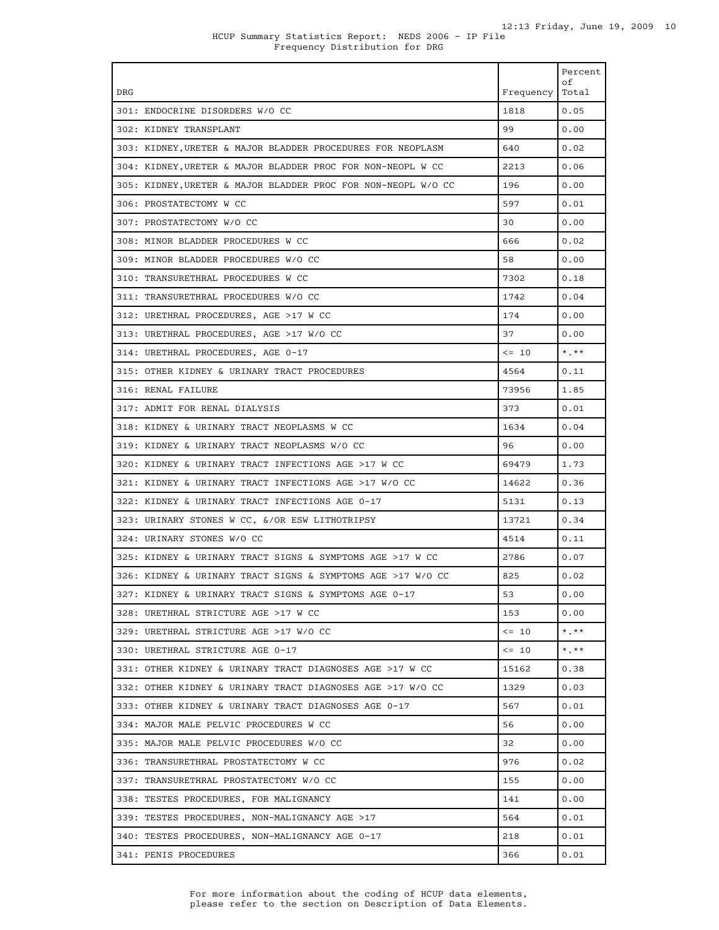| <b>DRG</b>                                                   | Frequency | Percent<br>of<br>Total  |
|--------------------------------------------------------------|-----------|-------------------------|
| 301: ENDOCRINE DISORDERS W/O CC                              | 1818      | 0.05                    |
| 302: KIDNEY TRANSPLANT                                       | 99        | 0.00                    |
| 303: KIDNEY, URETER & MAJOR BLADDER PROCEDURES FOR NEOPLASM  | 640       | 0.02                    |
| 304: KIDNEY,URETER & MAJOR BLADDER PROC FOR NON-NEOPL W CC   | 2213      | 0.06                    |
| 305: KIDNEY,URETER & MAJOR BLADDER PROC FOR NON-NEOPL W/O CC | 196       | 0.00                    |
| 306: PROSTATECTOMY W CC                                      | 597       | 0.01                    |
| 307: PROSTATECTOMY W/O CC                                    | 30        | 0.00                    |
| 308: MINOR BLADDER PROCEDURES W CC                           | 666       | 0.02                    |
| 309: MINOR BLADDER PROCEDURES W/O CC                         | 58        | 0.00                    |
| 310: TRANSURETHRAL PROCEDURES W CC                           | 7302      | 0.18                    |
| 311: TRANSURETHRAL PROCEDURES W/O CC                         | 1742      | 0.04                    |
| 312: URETHRAL PROCEDURES, AGE >17 W CC                       | 174       | 0.00                    |
| 313: URETHRAL PROCEDURES, AGE >17 W/O CC                     | 37        | 0.00                    |
| 314: URETHRAL PROCEDURES, AGE 0-17                           | $\leq$ 10 | $\star$ $\star$ $\star$ |
| 315: OTHER KIDNEY & URINARY TRACT PROCEDURES                 | 4564      | 0.11                    |
| 316: RENAL FAILURE                                           | 73956     | 1.85                    |
| 317: ADMIT FOR RENAL DIALYSIS                                | 373       | 0.01                    |
| 318: KIDNEY & URINARY TRACT NEOPLASMS W CC                   | 1634      | 0.04                    |
| 319: KIDNEY & URINARY TRACT NEOPLASMS W/O CC                 | 96        | 0.00                    |
| 320: KIDNEY & URINARY TRACT INFECTIONS AGE >17 W CC          | 69479     | 1.73                    |
| 321: KIDNEY & URINARY TRACT INFECTIONS AGE >17 W/O CC        | 14622     | 0.36                    |
| 322: KIDNEY & URINARY TRACT INFECTIONS AGE 0-17              | 5131      | 0.13                    |
| 323: URINARY STONES W CC, &/OR ESW LITHOTRIPSY               | 13721     | 0.34                    |
| 324: URINARY STONES W/O CC                                   | 4514      | 0.11                    |
| 325: KIDNEY & URINARY TRACT SIGNS & SYMPTOMS AGE >17 W CC    | 2786      | 0.07                    |
| 326: KIDNEY & URINARY TRACT SIGNS & SYMPTOMS AGE >17 W/O CC  | 825       | 0.02                    |
| 327: KIDNEY & URINARY TRACT SIGNS & SYMPTOMS AGE 0-17        | 53        | 0.00                    |
| 328: URETHRAL STRICTURE AGE >17 W CC                         | 153       | 0.00                    |
| 329: URETHRAL STRICTURE AGE >17 W/O CC                       | $\leq$ 10 | $*$ , $**$              |
| 330: URETHRAL STRICTURE AGE 0-17                             | $\leq$ 10 | $*$ , $**$              |
| 331: OTHER KIDNEY & URINARY TRACT DIAGNOSES AGE >17 W CC     | 15162     | 0.38                    |
| 332: OTHER KIDNEY & URINARY TRACT DIAGNOSES AGE >17 W/O CC   | 1329      | 0.03                    |
| 333: OTHER KIDNEY & URINARY TRACT DIAGNOSES AGE 0-17         | 567       | 0.01                    |
| 334: MAJOR MALE PELVIC PROCEDURES W CC                       | 56        | 0.00                    |
| 335: MAJOR MALE PELVIC PROCEDURES W/O CC                     | 32        | 0.00                    |
| 336: TRANSURETHRAL PROSTATECTOMY W CC                        | 976       | 0.02                    |
| 337: TRANSURETHRAL PROSTATECTOMY W/O CC                      | 155       | 0.00                    |
| 338: TESTES PROCEDURES, FOR MALIGNANCY                       | 141       | 0.00                    |
| 339: TESTES PROCEDURES, NON-MALIGNANCY AGE >17               | 564       | 0.01                    |
| 340: TESTES PROCEDURES, NON-MALIGNANCY AGE 0-17              | 218       | 0.01                    |
| 341: PENIS PROCEDURES                                        | 366       | 0.01                    |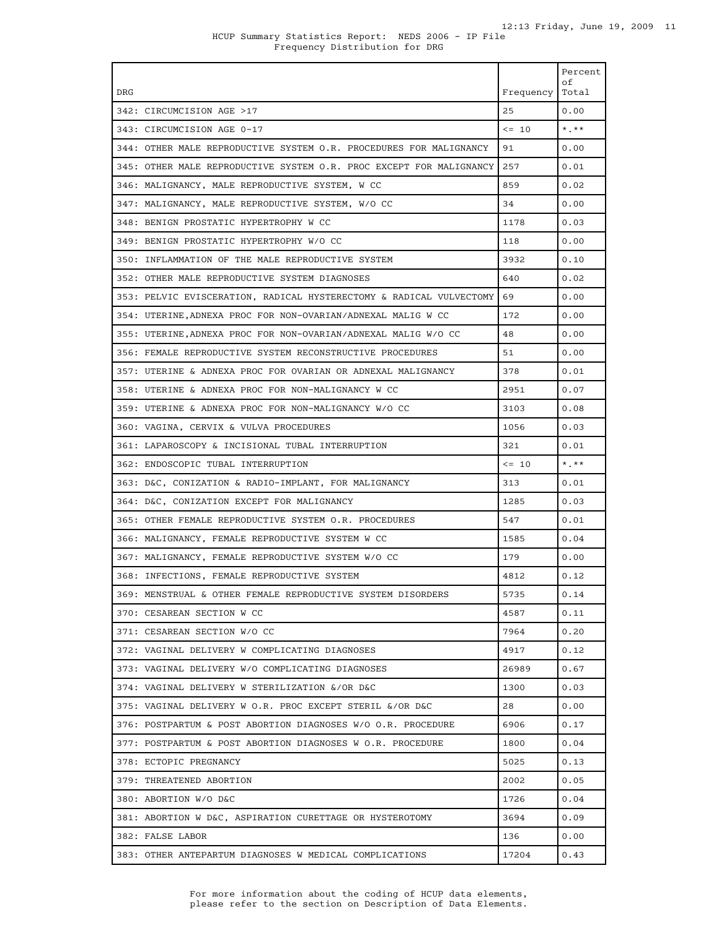|                                                                         |           | Percent<br>οf           |
|-------------------------------------------------------------------------|-----------|-------------------------|
| <b>DRG</b>                                                              | Frequency | Total                   |
| 342: CIRCUMCISION AGE >17                                               | 25        | 0.00                    |
| 343: CIRCUMCISION AGE 0-17                                              | $\leq$ 10 | $\star$ . $\star\star$  |
| 344: OTHER MALE REPRODUCTIVE SYSTEM O.R. PROCEDURES FOR MALIGNANCY      | 91        | 0.00                    |
| 345: OTHER MALE REPRODUCTIVE SYSTEM O.R. PROC EXCEPT FOR MALIGNANCY 257 |           | 0.01                    |
| 346: MALIGNANCY, MALE REPRODUCTIVE SYSTEM, W CC                         | 859       | 0.02                    |
| 347: MALIGNANCY, MALE REPRODUCTIVE SYSTEM, W/O CC                       | 34        | 0.00                    |
| 348: BENIGN PROSTATIC HYPERTROPHY W CC                                  | 1178      | 0.03                    |
| 349: BENIGN PROSTATIC HYPERTROPHY W/O CC                                | 118       | 0.00                    |
| 350: INFLAMMATION OF THE MALE REPRODUCTIVE SYSTEM                       | 3932      | 0.10                    |
| 352: OTHER MALE REPRODUCTIVE SYSTEM DIAGNOSES                           | 640       | 0.02                    |
| 353: PELVIC EVISCERATION, RADICAL HYSTERECTOMY & RADICAL VULVECTOMY     | 69        | 0.00                    |
| 354: UTERINE, ADNEXA PROC FOR NON-OVARIAN/ADNEXAL MALIG W CC            | 172       | 0.00                    |
| 355: UTERINE,ADNEXA PROC FOR NON-OVARIAN/ADNEXAL MALIG W/O CC           | 48        | 0.00                    |
| 356: FEMALE REPRODUCTIVE SYSTEM RECONSTRUCTIVE PROCEDURES               | 51        | 0.00                    |
| 357: UTERINE & ADNEXA PROC FOR OVARIAN OR ADNEXAL MALIGNANCY            | 378       | 0.01                    |
| 358: UTERINE & ADNEXA PROC FOR NON-MALIGNANCY W CC                      | 2951      | 0.07                    |
| 359: UTERINE & ADNEXA PROC FOR NON-MALIGNANCY W/O CC                    | 3103      | 0.08                    |
| 360: VAGINA, CERVIX & VULVA PROCEDURES                                  | 1056      | 0.03                    |
| 361: LAPAROSCOPY & INCISIONAL TUBAL INTERRUPTION                        | 321       | 0.01                    |
| 362: ENDOSCOPIC TUBAL INTERRUPTION                                      | $\leq$ 10 | $\star$ $\star$ $\star$ |
| 363: D&C, CONIZATION & RADIO-IMPLANT, FOR MALIGNANCY                    | 313       | 0.01                    |
| 364: D&C, CONIZATION EXCEPT FOR MALIGNANCY                              | 1285      | 0.03                    |
| 365: OTHER FEMALE REPRODUCTIVE SYSTEM O.R. PROCEDURES                   | 547       | 0.01                    |
| 366: MALIGNANCY, FEMALE REPRODUCTIVE SYSTEM W CC                        | 1585      | 0.04                    |
| 367: MALIGNANCY, FEMALE REPRODUCTIVE SYSTEM W/O CC                      | 179       | 0.00                    |
| 368: INFECTIONS, FEMALE REPRODUCTIVE SYSTEM                             | 4812      | 0.12                    |
| 369: MENSTRUAL & OTHER FEMALE REPRODUCTIVE SYSTEM DISORDERS             | 5735      | 0.14                    |
| 370: CESAREAN SECTION W CC                                              | 4587      | 0.11                    |
| 371: CESAREAN SECTION W/O CC                                            | 7964      | 0.20                    |
| 372: VAGINAL DELIVERY W COMPLICATING DIAGNOSES                          | 4917      | 0.12                    |
| 373: VAGINAL DELIVERY W/O COMPLICATING DIAGNOSES                        | 26989     | 0.67                    |
| 374: VAGINAL DELIVERY W STERILIZATION &/OR D&C                          | 1300      | 0.03                    |
| 375: VAGINAL DELIVERY W O.R. PROC EXCEPT STERIL &/OR D&C                | 28        | 0.00                    |
| 376: POSTPARTUM & POST ABORTION DIAGNOSES W/O O.R. PROCEDURE            | 6906      | 0.17                    |
| 377: POSTPARTUM & POST ABORTION DIAGNOSES W O.R. PROCEDURE              | 1800      | 0.04                    |
| 378: ECTOPIC PREGNANCY                                                  | 5025      | 0.13                    |
| 379: THREATENED ABORTION                                                | 2002      | 0.05                    |
| 380: ABORTION W/O D&C                                                   | 1726      | 0.04                    |
| 381: ABORTION W D&C, ASPIRATION CURETTAGE OR HYSTEROTOMY                | 3694      | 0.09                    |
| 382: FALSE LABOR                                                        | 136       | 0.00                    |
| 383: OTHER ANTEPARTUM DIAGNOSES W MEDICAL COMPLICATIONS                 | 17204     | 0.43                    |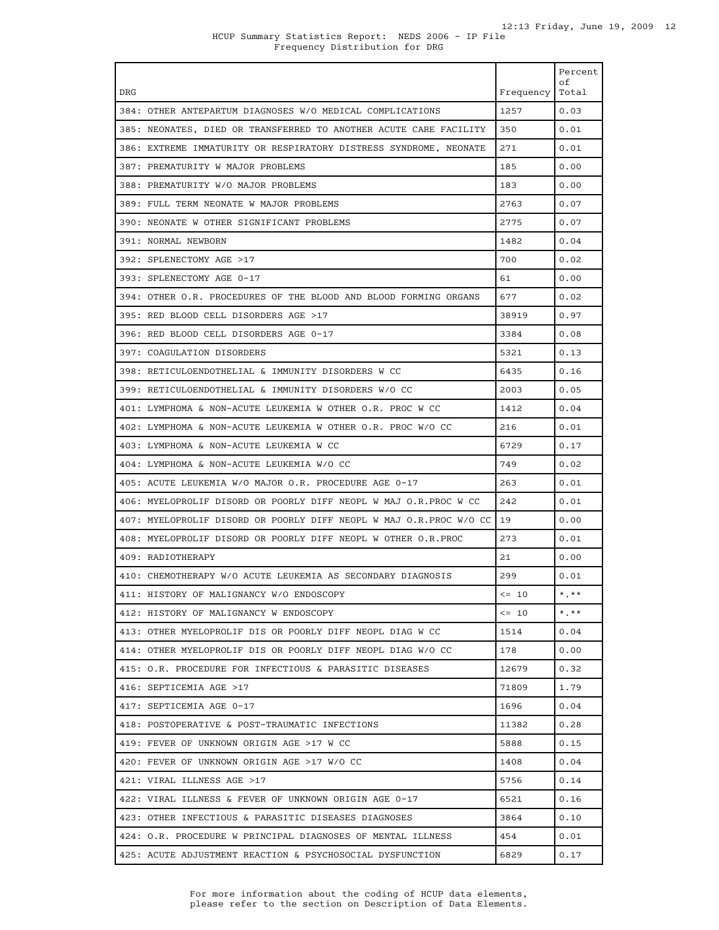|                                                                          |           | Percent     |
|--------------------------------------------------------------------------|-----------|-------------|
| DRG                                                                      | Frequency | оf<br>Total |
| 384: OTHER ANTEPARTUM DIAGNOSES W/O MEDICAL COMPLICATIONS                | 1257      | 0.03        |
| 385: NEONATES, DIED OR TRANSFERRED TO ANOTHER ACUTE CARE FACILITY        | 350       | 0.01        |
| 386: EXTREME IMMATURITY OR RESPIRATORY DISTRESS SYNDROME, NEONATE        | 271       | 0.01        |
| 387: PREMATURITY W MAJOR PROBLEMS                                        | 185       | 0.00        |
| 388: PREMATURITY W/O MAJOR PROBLEMS                                      | 183       | 0.00        |
| 389: FULL TERM NEONATE W MAJOR PROBLEMS                                  | 2763      | 0.07        |
| 390: NEONATE W OTHER SIGNIFICANT PROBLEMS                                | 2775      | 0.07        |
| 391: NORMAL NEWBORN                                                      | 1482      | 0.04        |
| 392: SPLENECTOMY AGE >17                                                 | 700       | 0.02        |
| 393: SPLENECTOMY AGE 0-17                                                | 61        | 0.00        |
| 394: OTHER O.R. PROCEDURES OF THE BLOOD AND BLOOD FORMING ORGANS         | 677       | 0.02        |
| 395: RED BLOOD CELL DISORDERS AGE >17                                    | 38919     | 0.97        |
| 396: RED BLOOD CELL DISORDERS AGE 0-17                                   | 3384      | 0.08        |
| 397: COAGULATION DISORDERS                                               | 5321      | 0.13        |
| 398: RETICULOENDOTHELIAL & IMMUNITY DISORDERS W CC                       | 6435      | 0.16        |
| 399: RETICULOENDOTHELIAL & IMMUNITY DISORDERS W/O CC                     | 2003      | 0.05        |
| 401: LYMPHOMA & NON-ACUTE LEUKEMIA W OTHER O.R. PROC W CC                | 1412      | 0.04        |
| 402: LYMPHOMA & NON-ACUTE LEUKEMIA W OTHER O.R. PROC W/O CC              | 216       | 0.01        |
| 403: LYMPHOMA & NON-ACUTE LEUKEMIA W CC                                  | 6729      | 0.17        |
| 404: LYMPHOMA & NON-ACUTE LEUKEMIA W/O CC                                | 749       | 0.02        |
| 405: ACUTE LEUKEMIA W/O MAJOR O.R. PROCEDURE AGE 0-17                    | 263       | 0.01        |
| 406: MYELOPROLIF DISORD OR POORLY DIFF NEOPL W MAJ O.R.PROC W CC         | 242       | 0.01        |
| 407: MYELOPROLIF DISORD OR POORLY DIFF NEOPL W MAJ O.R. PROC W/O CC   19 |           | 0.00        |
| 408: MYELOPROLIF DISORD OR POORLY DIFF NEOPL W OTHER O.R.PROC            | 273       | 0.01        |
| 409: RADIOTHERAPY                                                        | 21        | 0.00        |
| 410: CHEMOTHERAPY W/O ACUTE LEUKEMIA AS SECONDARY DIAGNOSIS              | 299       | 0.01        |
| 411: HISTORY OF MALIGNANCY W/O ENDOSCOPY                                 | $\leq$ 10 | $*$ . $**$  |
| 412: HISTORY OF MALIGNANCY W ENDOSCOPY                                   | $\leq 10$ | $*$ , $**$  |
| 413: OTHER MYELOPROLIF DIS OR POORLY DIFF NEOPL DIAG W CC                | 1514      | 0.04        |
| 414: OTHER MYELOPROLIF DIS OR POORLY DIFF NEOPL DIAG W/O CC              | 178       | 0.00        |
| 415: O.R. PROCEDURE FOR INFECTIOUS & PARASITIC DISEASES                  | 12679     | 0.32        |
| 416: SEPTICEMIA AGE >17                                                  | 71809     | 1.79        |
| 417: SEPTICEMIA AGE 0-17                                                 | 1696      | 0.04        |
| 418: POSTOPERATIVE & POST-TRAUMATIC INFECTIONS                           | 11382     | 0.28        |
| 419: FEVER OF UNKNOWN ORIGIN AGE >17 W CC                                | 5888      | 0.15        |
| 420: FEVER OF UNKNOWN ORIGIN AGE >17 W/O CC                              | 1408      | 0.04        |
| 421: VIRAL ILLNESS AGE >17                                               | 5756      | 0.14        |
| 422: VIRAL ILLNESS & FEVER OF UNKNOWN ORIGIN AGE 0-17                    | 6521      | 0.16        |
| 423: OTHER INFECTIOUS & PARASITIC DISEASES DIAGNOSES                     | 3864      | 0.10        |
| 424: O.R. PROCEDURE W PRINCIPAL DIAGNOSES OF MENTAL ILLNESS              | 454       | 0.01        |
| 425: ACUTE ADJUSTMENT REACTION & PSYCHOSOCIAL DYSFUNCTION                | 6829      | 0.17        |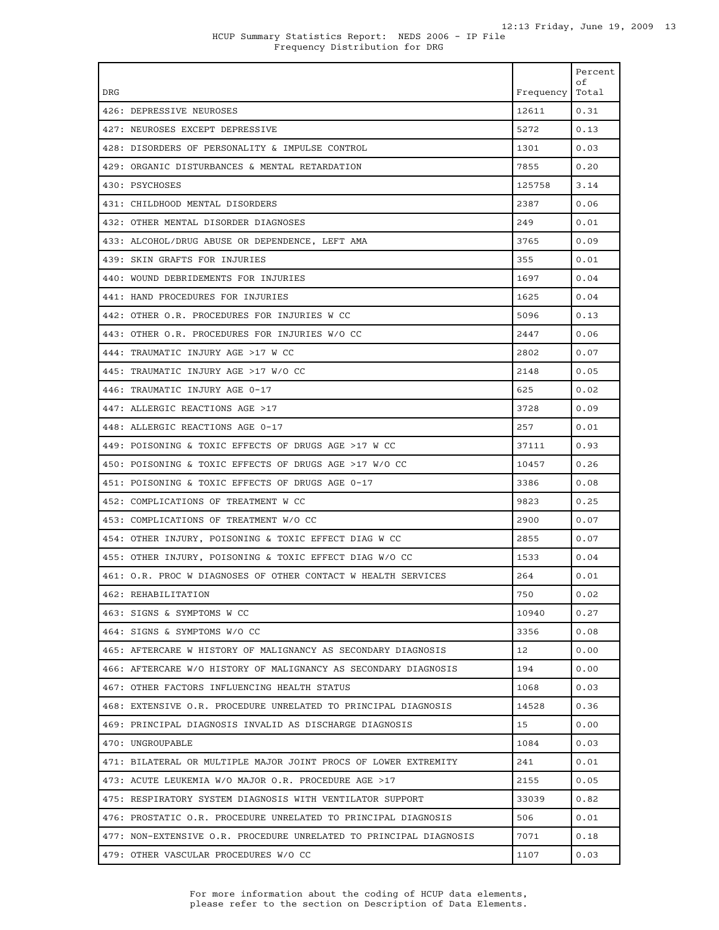| DRG                                                                | Frequency | Percent<br>οf<br>Total |
|--------------------------------------------------------------------|-----------|------------------------|
| 426: DEPRESSIVE NEUROSES                                           | 12611     | 0.31                   |
| 427: NEUROSES EXCEPT DEPRESSIVE                                    | 5272      | 0.13                   |
| 428: DISORDERS OF PERSONALITY & IMPULSE CONTROL                    | 1301      | 0.03                   |
| 429: ORGANIC DISTURBANCES & MENTAL RETARDATION                     | 7855      | 0.20                   |
| 430: PSYCHOSES                                                     | 125758    | 3.14                   |
| 431: CHILDHOOD MENTAL DISORDERS                                    | 2387      | 0.06                   |
| 432: OTHER MENTAL DISORDER DIAGNOSES                               | 249       | 0.01                   |
| 433: ALCOHOL/DRUG ABUSE OR DEPENDENCE, LEFT AMA                    | 3765      | 0.09                   |
| 439: SKIN GRAFTS FOR INJURIES                                      | 355       | 0.01                   |
| 440: WOUND DEBRIDEMENTS FOR INJURIES                               | 1697      | 0.04                   |
| 441: HAND PROCEDURES FOR INJURIES                                  | 1625      | 0.04                   |
| 442: OTHER O.R. PROCEDURES FOR INJURIES W CC                       | 5096      | 0.13                   |
| 443: OTHER O.R. PROCEDURES FOR INJURIES W/O CC                     | 2447      | 0.06                   |
| 444: TRAUMATIC INJURY AGE >17 W CC                                 | 2802      | 0.07                   |
| 445: TRAUMATIC INJURY AGE >17 W/O CC                               | 2148      | 0.05                   |
| 446: TRAUMATIC INJURY AGE 0-17                                     | 625       | 0.02                   |
| 447: ALLERGIC REACTIONS AGE >17                                    | 3728      | 0.09                   |
| 448: ALLERGIC REACTIONS AGE 0-17                                   | 257       | 0.01                   |
| 449: POISONING & TOXIC EFFECTS OF DRUGS AGE >17 W CC               | 37111     | 0.93                   |
| 450: POISONING & TOXIC EFFECTS OF DRUGS AGE >17 W/O CC             | 10457     | 0.26                   |
| 451: POISONING & TOXIC EFFECTS OF DRUGS AGE 0-17                   | 3386      | 0.08                   |
| 452: COMPLICATIONS OF TREATMENT W CC                               | 9823      | 0.25                   |
| 453: COMPLICATIONS OF TREATMENT W/O CC                             | 2900      | 0.07                   |
| 454: OTHER INJURY, POISONING & TOXIC EFFECT DIAG W CC              | 2855      | 0.07                   |
| 455: OTHER INJURY, POISONING & TOXIC EFFECT DIAG W/O CC            | 1533      | 0.04                   |
| 461: O.R. PROC W DIAGNOSES OF OTHER CONTACT W HEALTH SERVICES      | 264       | 0.01                   |
| 462: REHABILITATION                                                | 750       | 0.02                   |
| 463: SIGNS & SYMPTOMS W CC                                         | 10940     | 0.27                   |
| 464: SIGNS & SYMPTOMS W/O CC                                       | 3356      | 0.08                   |
| 465: AFTERCARE W HISTORY OF MALIGNANCY AS SECONDARY DIAGNOSIS      | 12        | 0.00                   |
| 466: AFTERCARE W/O HISTORY OF MALIGNANCY AS SECONDARY DIAGNOSIS    | 194       | 0.00                   |
| 467: OTHER FACTORS INFLUENCING HEALTH STATUS                       | 1068      | 0.03                   |
| 468: EXTENSIVE O.R. PROCEDURE UNRELATED TO PRINCIPAL DIAGNOSIS     | 14528     | 0.36                   |
| 469: PRINCIPAL DIAGNOSIS INVALID AS DISCHARGE DIAGNOSIS            | 15        | 0.00                   |
| 470: UNGROUPABLE                                                   | 1084      | 0.03                   |
| 471: BILATERAL OR MULTIPLE MAJOR JOINT PROCS OF LOWER EXTREMITY    | 241       | 0.01                   |
| 473: ACUTE LEUKEMIA W/O MAJOR O.R. PROCEDURE AGE >17               | 2155      | 0.05                   |
| 475: RESPIRATORY SYSTEM DIAGNOSIS WITH VENTILATOR SUPPORT          | 33039     | 0.82                   |
| 476: PROSTATIC O.R. PROCEDURE UNRELATED TO PRINCIPAL DIAGNOSIS     | 506       | 0.01                   |
| 477: NON-EXTENSIVE O.R. PROCEDURE UNRELATED TO PRINCIPAL DIAGNOSIS | 7071      | 0.18                   |
| 479: OTHER VASCULAR PROCEDURES W/O CC                              | 1107      | 0.03                   |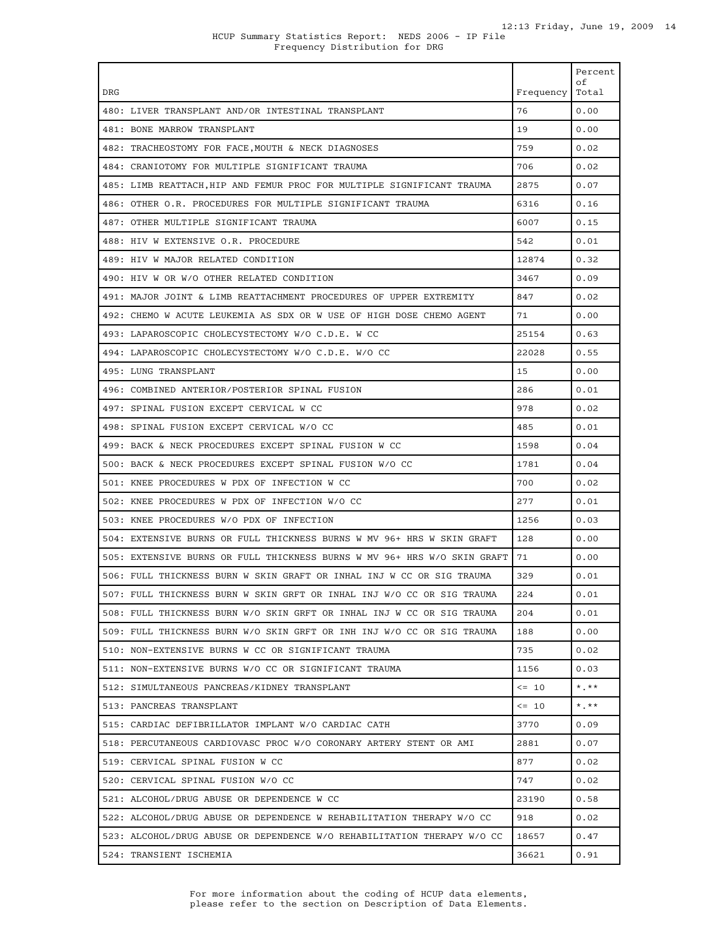| <b>DRG</b>                                                               | Frequency | Percent<br>οf<br>Total  |
|--------------------------------------------------------------------------|-----------|-------------------------|
| 480: LIVER TRANSPLANT AND/OR INTESTINAL TRANSPLANT                       | 76        | 0.00                    |
| 481: BONE MARROW TRANSPLANT                                              | 19        | 0.00                    |
| 482: TRACHEOSTOMY FOR FACE, MOUTH & NECK DIAGNOSES                       | 759       | 0.02                    |
| 484: CRANIOTOMY FOR MULTIPLE SIGNIFICANT TRAUMA                          | 706       | 0.02                    |
| 485: LIMB REATTACH, HIP AND FEMUR PROC FOR MULTIPLE SIGNIFICANT TRAUMA   | 2875      | 0.07                    |
| 486: OTHER O.R. PROCEDURES FOR MULTIPLE SIGNIFICANT TRAUMA               | 6316      | 0.16                    |
| 487: OTHER MULTIPLE SIGNIFICANT TRAUMA                                   | 6007      | 0.15                    |
| 488: HIV W EXTENSIVE O.R. PROCEDURE                                      | 542       | 0.01                    |
| 489: HIV W MAJOR RELATED CONDITION                                       | 12874     | 0.32                    |
| 490: HIV W OR W/O OTHER RELATED CONDITION                                | 3467      | 0.09                    |
| 491: MAJOR JOINT & LIMB REATTACHMENT PROCEDURES OF UPPER EXTREMITY       | 847       | 0.02                    |
| 492: CHEMO W ACUTE LEUKEMIA AS SDX OR W USE OF HIGH DOSE CHEMO AGENT     | 71        | 0.00                    |
| 493: LAPAROSCOPIC CHOLECYSTECTOMY W/O C.D.E. W CC                        | 25154     | 0.63                    |
| 494: LAPAROSCOPIC CHOLECYSTECTOMY W/O C.D.E. W/O CC                      | 22028     | 0.55                    |
| 495: LUNG TRANSPLANT                                                     | 15        | 0.00                    |
| 496: COMBINED ANTERIOR/POSTERIOR SPINAL FUSION                           | 286       | 0.01                    |
| 497: SPINAL FUSION EXCEPT CERVICAL W CC                                  | 978       | 0.02                    |
| 498: SPINAL FUSION EXCEPT CERVICAL W/O CC                                | 485       | 0.01                    |
| 499: BACK & NECK PROCEDURES EXCEPT SPINAL FUSION W CC                    | 1598      | 0.04                    |
| 500: BACK & NECK PROCEDURES EXCEPT SPINAL FUSION W/O CC                  | 1781      | 0.04                    |
| 501: KNEE PROCEDURES W PDX OF INFECTION W CC                             | 700       | 0.02                    |
| 502: KNEE PROCEDURES W PDX OF INFECTION W/O CC                           | 277       | 0.01                    |
| 503: KNEE PROCEDURES W/O PDX OF INFECTION                                | 1256      | 0.03                    |
| 504: EXTENSIVE BURNS OR FULL THICKNESS BURNS W MV 96+ HRS W SKIN GRAFT   | 128       | 0.00                    |
| 505: EXTENSIVE BURNS OR FULL THICKNESS BURNS W MV 96+ HRS W/O SKIN GRAFT | 71        | 0.00                    |
| 506: FULL THICKNESS BURN W SKIN GRAFT OR INHAL INJ W CC OR SIG TRAUMA    | 329       | 0.01                    |
| 507: FULL THICKNESS BURN W SKIN GRFT OR INHAL INJ W/O CC OR SIG TRAUMA   | 224       | 0.01                    |
| 508: FULL THICKNESS BURN W/O SKIN GRFT OR INHAL INJ W CC OR SIG TRAUMA   | 204       | 0.01                    |
| 509: FULL THICKNESS BURN W/O SKIN GRFT OR INH INJ W/O CC OR SIG TRAUMA   | 188       | 0.00                    |
| 510: NON-EXTENSIVE BURNS W CC OR SIGNIFICANT TRAUMA                      | 735       | 0.02                    |
| 511: NON-EXTENSIVE BURNS W/O CC OR SIGNIFICANT TRAUMA                    | 1156      | 0.03                    |
| 512: SIMULTANEOUS PANCREAS/KIDNEY TRANSPLANT                             | $\leq$ 10 | $\star$ . $\star \star$ |
| 513: PANCREAS TRANSPLANT                                                 | $\leq$ 10 | $*$ , $**$              |
| 515: CARDIAC DEFIBRILLATOR IMPLANT W/O CARDIAC CATH                      | 3770      | 0.09                    |
| 518: PERCUTANEOUS CARDIOVASC PROC W/O CORONARY ARTERY STENT OR AMI       | 2881      | 0.07                    |
| 519: CERVICAL SPINAL FUSION W CC                                         | 877       | 0.02                    |
| 520: CERVICAL SPINAL FUSION W/O CC                                       | 747       | 0.02                    |
| 521: ALCOHOL/DRUG ABUSE OR DEPENDENCE W CC                               | 23190     | 0.58                    |
| 522: ALCOHOL/DRUG ABUSE OR DEPENDENCE W REHABILITATION THERAPY W/O CC    | 918       | 0.02                    |
| 523: ALCOHOL/DRUG ABUSE OR DEPENDENCE W/O REHABILITATION THERAPY W/O CC  | 18657     | 0.47                    |
| 524: TRANSIENT ISCHEMIA                                                  | 36621     | 0.91                    |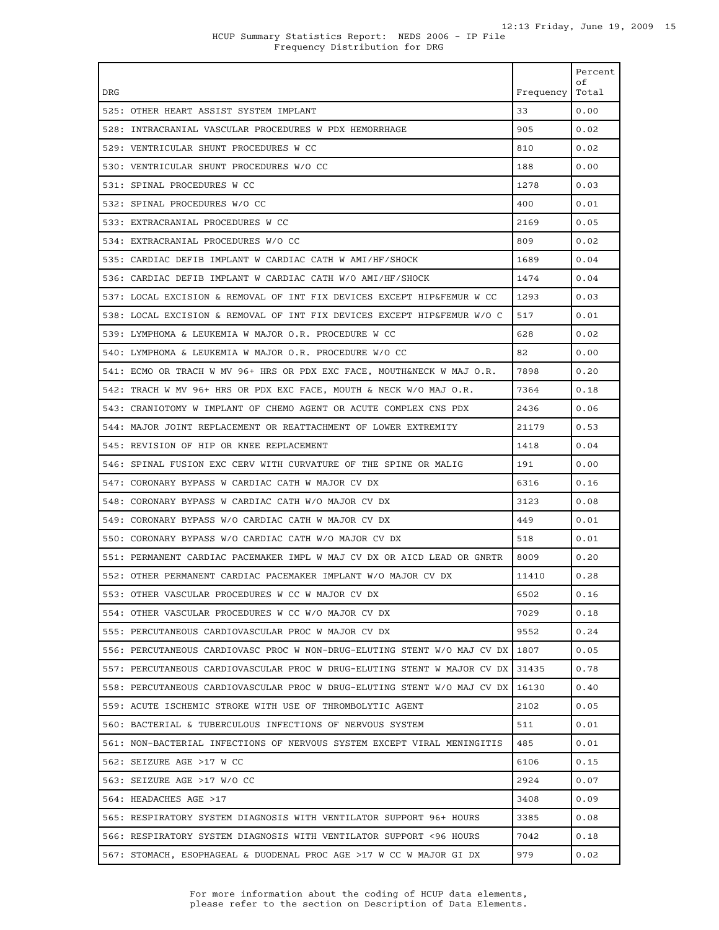| <b>DRG</b>                                                                                                                                           | Frequency     | Percent<br>οf<br>Total |
|------------------------------------------------------------------------------------------------------------------------------------------------------|---------------|------------------------|
| 525: OTHER HEART ASSIST SYSTEM IMPLANT                                                                                                               | 33            | 0.00                   |
| 528: INTRACRANIAL VASCULAR PROCEDURES W PDX HEMORRHAGE                                                                                               | 905           | 0.02                   |
| 529: VENTRICULAR SHUNT PROCEDURES W CC                                                                                                               | 810           | 0.02                   |
| 530: VENTRICULAR SHUNT PROCEDURES W/O CC                                                                                                             | 188           | 0.00                   |
| 531: SPINAL PROCEDURES W CC                                                                                                                          | 1278          | 0.03                   |
| 532: SPINAL PROCEDURES W/O CC                                                                                                                        | 400           | 0.01                   |
| 533: EXTRACRANIAL PROCEDURES W CC                                                                                                                    | 2169          | 0.05                   |
| 534: EXTRACRANIAL PROCEDURES W/O CC                                                                                                                  | 809           | 0.02                   |
| 535: CARDIAC DEFIB IMPLANT W CARDIAC CATH W AMI/HF/SHOCK                                                                                             | 1689          | 0.04                   |
| 536: CARDIAC DEFIB IMPLANT W CARDIAC CATH W/O AMI/HF/SHOCK                                                                                           | 1474          | 0.04                   |
| 537: LOCAL EXCISION & REMOVAL OF INT FIX DEVICES EXCEPT HIP&FEMUR W CC                                                                               | 1293          | 0.03                   |
| 538: LOCAL EXCISION & REMOVAL OF INT FIX DEVICES EXCEPT HIP&FEMUR W/O C                                                                              | 517           | 0.01                   |
| 539: LYMPHOMA & LEUKEMIA W MAJOR O.R. PROCEDURE W CC                                                                                                 | 628           | 0.02                   |
| 540: LYMPHOMA & LEUKEMIA W MAJOR O.R. PROCEDURE W/O CC                                                                                               | 82            | 0.00                   |
|                                                                                                                                                      | 7898          | 0.20                   |
| 541: ECMO OR TRACH W MV 96+ HRS OR PDX EXC FACE, MOUTH&NECK W MAJ O.R.<br>542: TRACH W MV 96+ HRS OR PDX EXC FACE, MOUTH & NECK W/O MAJ O.R.         | 7364          | 0.18                   |
| 543: CRANIOTOMY W IMPLANT OF CHEMO AGENT OR ACUTE COMPLEX CNS PDX                                                                                    | 2436          | 0.06                   |
|                                                                                                                                                      |               | 0.53                   |
| 544: MAJOR JOINT REPLACEMENT OR REATTACHMENT OF LOWER EXTREMITY                                                                                      | 21179         |                        |
| 545: REVISION OF HIP OR KNEE REPLACEMENT<br>546: SPINAL FUSION EXC CERV WITH CURVATURE OF THE SPINE OR MALIG                                         | 1418<br>191   | 0.04<br>0.00           |
| 547: CORONARY BYPASS W CARDIAC CATH W MAJOR CV DX                                                                                                    | 6316          | 0.16                   |
| 548: CORONARY BYPASS W CARDIAC CATH W/O MAJOR CV DX                                                                                                  | 3123          | 0.08                   |
| 549: CORONARY BYPASS W/O CARDIAC CATH W MAJOR CV DX                                                                                                  | 449           | 0.01                   |
|                                                                                                                                                      |               |                        |
| 550: CORONARY BYPASS W/O CARDIAC CATH W/O MAJOR CV DX<br>551: PERMANENT CARDIAC PACEMAKER IMPL W MAJ CV DX OR AICD LEAD OR GNRTR                     | 518<br>8009   | 0.01<br>0.20           |
|                                                                                                                                                      | 11410         | 0.28                   |
| 552: OTHER PERMANENT CARDIAC PACEMAKER IMPLANT W/O MAJOR CV DX<br>553: OTHER VASCULAR PROCEDURES W CC W MAJOR CV DX                                  |               | 0.16                   |
| 554: OTHER VASCULAR PROCEDURES W CC W/O MAJOR CV DX                                                                                                  | 6502<br>7029  | 0.18                   |
|                                                                                                                                                      | 9552          | 0.24                   |
| 555: PERCUTANEOUS CARDIOVASCULAR PROC W MAJOR CV DX                                                                                                  |               |                        |
| 556: PERCUTANEOUS CARDIOVASC PROC W NON-DRUG-ELUTING STENT W/O MAJ CV DX<br>557: PERCUTANEOUS CARDIOVASCULAR PROC W DRUG-ELUTING STENT W MAJOR CV DX | 1807<br>31435 | 0.05<br>0.78           |
| 558: PERCUTANEOUS CARDIOVASCULAR PROC W DRUG-ELUTING STENT W/O MAJ CV DX                                                                             | 16130         | 0.40                   |
| 559: ACUTE ISCHEMIC STROKE WITH USE OF THROMBOLYTIC AGENT                                                                                            | 2102          | 0.05                   |
| 560: BACTERIAL & TUBERCULOUS INFECTIONS OF NERVOUS SYSTEM                                                                                            | 511           | 0.01                   |
|                                                                                                                                                      |               |                        |
| 561: NON-BACTERIAL INFECTIONS OF NERVOUS SYSTEM EXCEPT VIRAL MENINGITIS<br>562: SEIZURE AGE >17 W CC                                                 | 485<br>6106   | 0.01                   |
| 563: SEIZURE AGE >17 W/O CC                                                                                                                          | 2924          | 0.15<br>0.07           |
|                                                                                                                                                      | 3408          | 0.09                   |
| 564: HEADACHES AGE >17                                                                                                                               |               |                        |
| 565: RESPIRATORY SYSTEM DIAGNOSIS WITH VENTILATOR SUPPORT 96+ HOURS                                                                                  | 3385          | 0.08                   |
| 566: RESPIRATORY SYSTEM DIAGNOSIS WITH VENTILATOR SUPPORT <96 HOURS<br>567: STOMACH, ESOPHAGEAL & DUODENAL PROC AGE >17 W CC W MAJOR GI DX           | 7042<br>979   | 0.18<br>0.02           |
|                                                                                                                                                      |               |                        |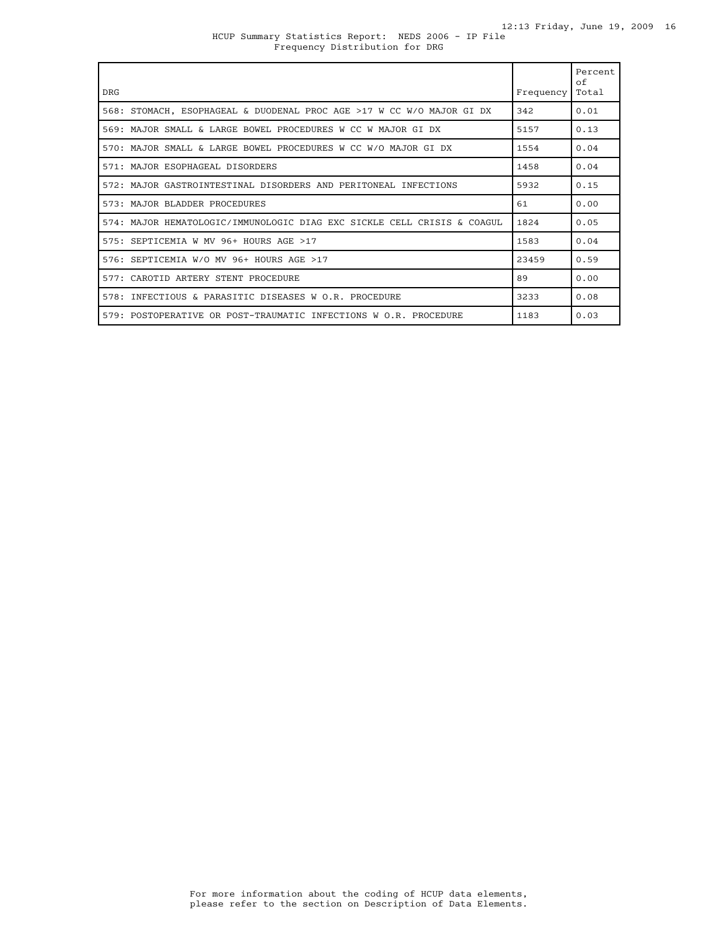### HCUP Summary Statistics Report: NEDS 2006 - IP File Frequency Distribution for DRG

| <b>DRG</b>                                                              | Frequency | Percent<br>of<br>Total |
|-------------------------------------------------------------------------|-----------|------------------------|
| 568: STOMACH, ESOPHAGEAL & DUODENAL PROC AGE >17 W CC W/O MAJOR GI DX   | 342       | 0.01                   |
| 569: MAJOR SMALL & LARGE BOWEL PROCEDURES W CC W MAJOR GI DX            | 5157      | 0.13                   |
| 570: MAJOR SMALL & LARGE BOWEL PROCEDURES W CC W/O MAJOR GI DX          | 1554      | 0.04                   |
| 571: MAJOR ESOPHAGEAL DISORDERS                                         | 1458      | 0.04                   |
| 572: MAJOR GASTROINTESTINAL DISORDERS AND PERITONEAL INFECTIONS         | 5932      | 0.15                   |
| 573: MAJOR BLADDER PROCEDURES                                           | 61        | 0.00                   |
| 574: MAJOR HEMATOLOGIC/IMMUNOLOGIC DIAG EXC SICKLE CELL CRISIS & COAGUL | 1824      | 0.05                   |
| 575: SEPTICEMIA W MV 96+ HOURS AGE >17                                  | 1583      | 0.04                   |
| 576: SEPTICEMIA W/O MV 96+ HOURS AGE >17                                | 23459     | 0.59                   |
| 577: CAROTID ARTERY STENT PROCEDURE                                     | 89        | 0.00                   |
| 578: INFECTIOUS & PARASITIC DISEASES W O.R. PROCEDURE                   | 3233      | 0.08                   |
| 579: POSTOPERATIVE OR POST-TRAUMATIC INFECTIONS W O.R. PROCEDURE        | 1183      | 0.03                   |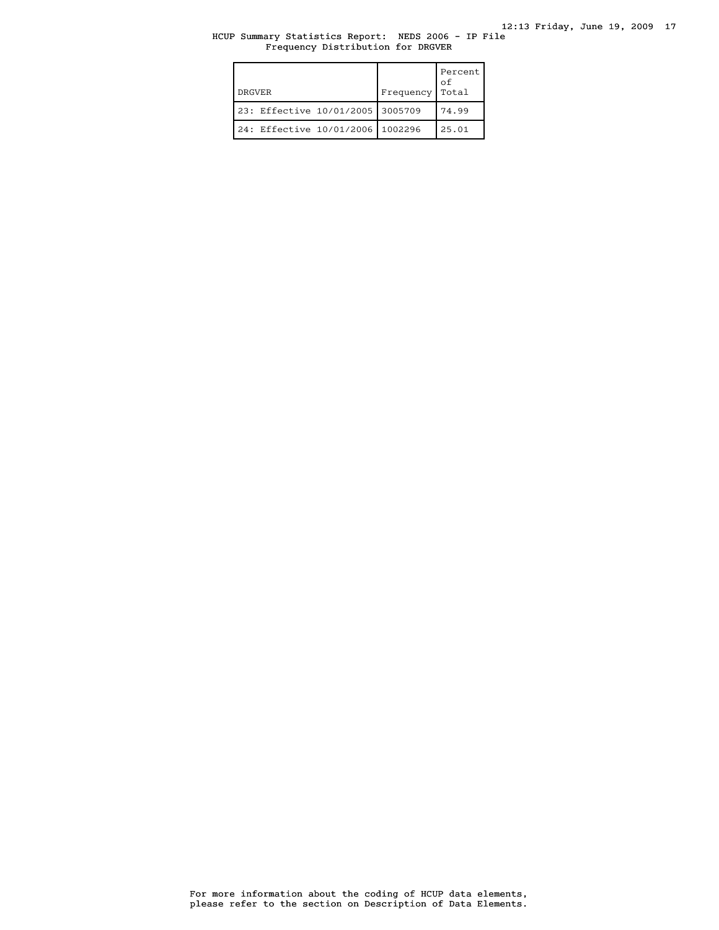## HCUP Summary Statistics Report: NEDS 2006 - IP File Frequency Distribution for DRGVER

| <b>DRGVER</b>                      | Frequency | Percent<br>οf<br>Total |
|------------------------------------|-----------|------------------------|
| 23: Effective 10/01/2005 3005709   |           | 74.99                  |
| 24: Effective 10/01/2006   1002296 |           | 25.01                  |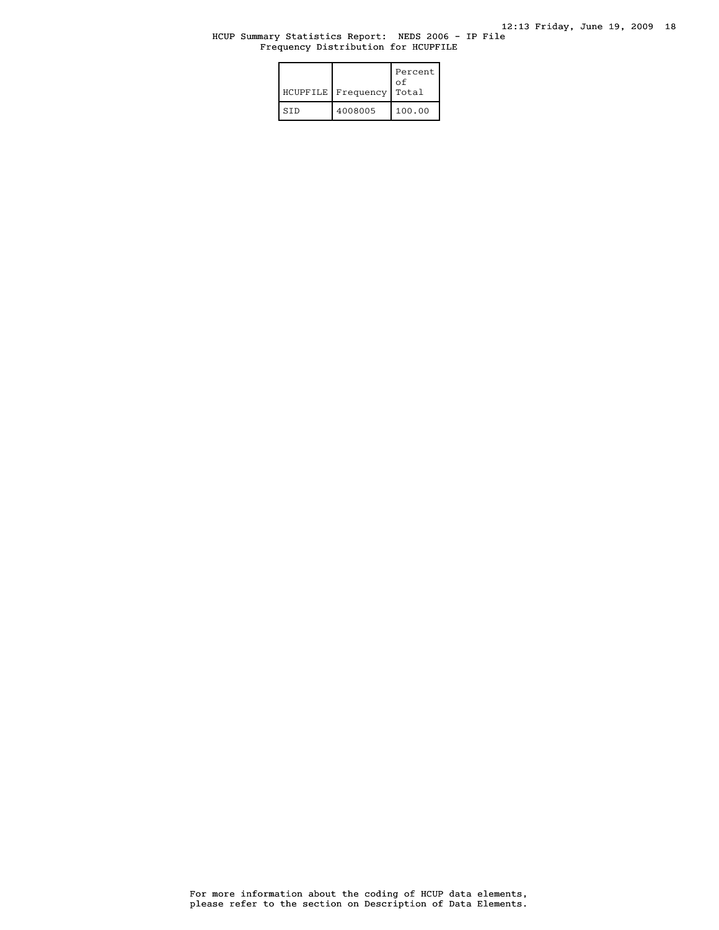## HCUP Summary Statistics Report: NEDS 2006 - IP File Frequency Distribution for HCUPFILE

| HCUPFILE | Frequency | Percent<br>nt o<br>Total |
|----------|-----------|--------------------------|
| STD      | 4008005   | 100.00                   |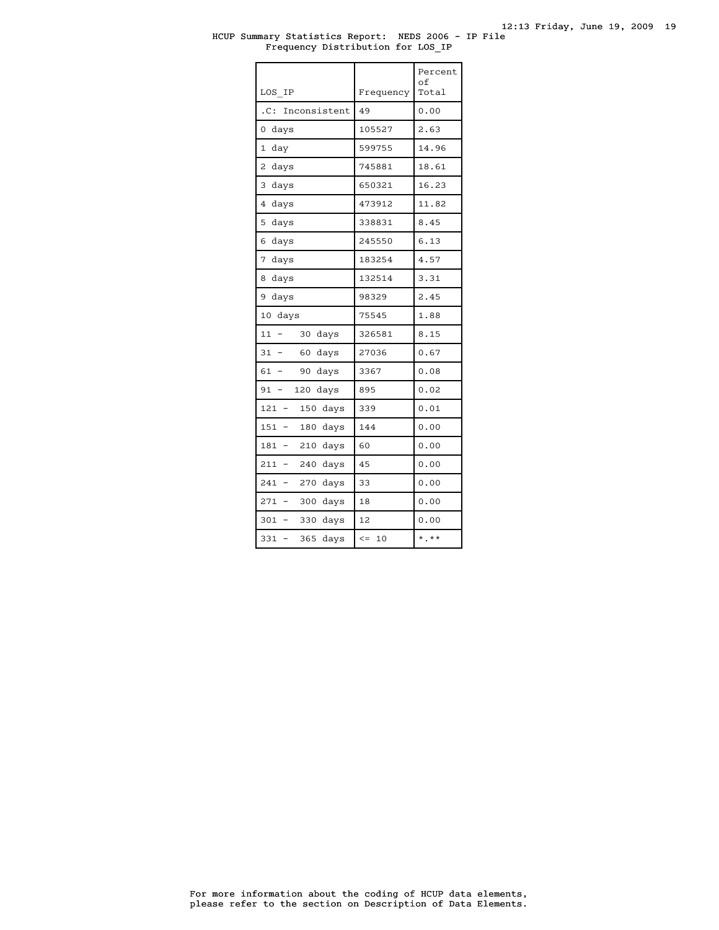### HCUP Summary Statistics Report: NEDS 2006 - IP File Frequency Distribution for LOS\_IP

|                                      |              | Percent<br>of |
|--------------------------------------|--------------|---------------|
| LOS IP                               | Frequency    | Total         |
| Inconsistent<br>.C:                  | 49           | 0.00          |
| 0<br>days                            | 105527       | 2.63          |
| $\mathbf{1}$<br>day                  | 599755       | 14.96         |
| 2<br>days                            | 745881       | 18.61         |
| 3<br>days                            | 650321       | 16.23         |
| 4<br>days                            | 473912       | 11.82         |
| 5<br>days                            | 338831       | 8.45          |
| 6<br>days                            | 245550       | 6.13          |
| 7<br>days                            | 183254       | 4.57          |
| 8<br>days                            | 132514       | 3.31          |
| 9<br>days                            | 98329        | 2.45          |
| 10<br>days                           | 75545        | 1.88          |
| 11<br>30<br>days                     | 326581       | 8.15          |
| 31<br>60<br>days<br>$\overline{a}$   | 27036        | 0.67          |
| 61<br>90<br>days                     | 3367         | 0.08          |
| 120<br>91<br>days<br>$\overline{a}$  | 895          | 0.02          |
| 121<br>150<br>days<br>$\overline{a}$ | 339          | 0.01          |
| 151<br>180<br>days                   | 144          | 0.00          |
| 181<br>210<br>days                   | 60           | 0.00          |
| 211<br>240 days                      | 45           | 0.00          |
| 241<br>270<br>days<br>$\overline{a}$ | 33           | 0.00          |
| 271<br>300<br>days                   | 18           | 0.00          |
| 301<br>330<br>days                   | 12           | 0.00          |
| 331<br>365<br>days                   | $\leq$<br>10 | $*$ $*$       |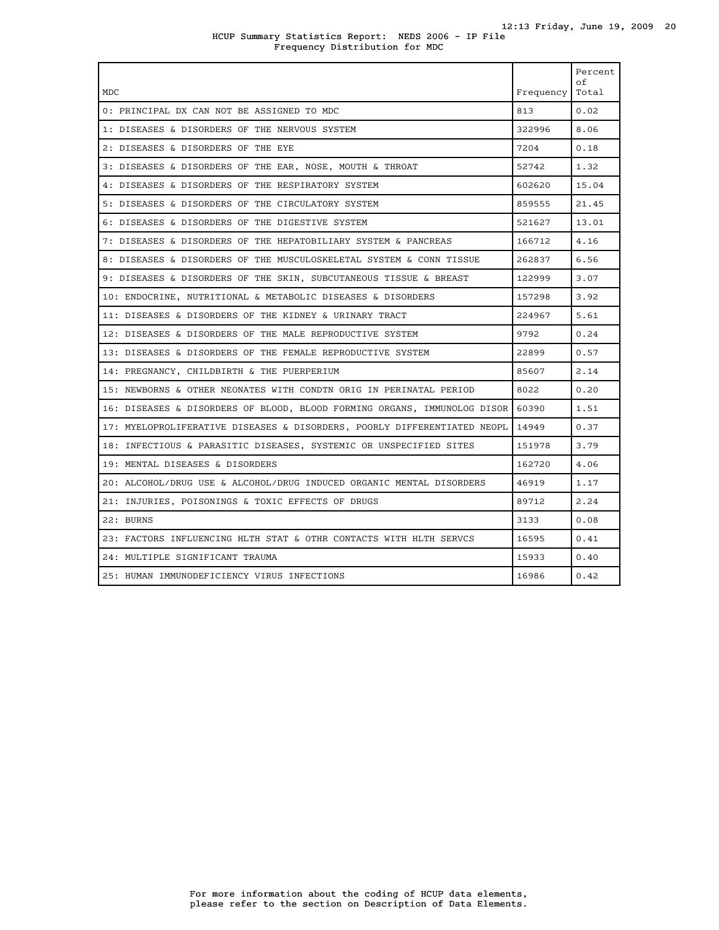### HCUP Summary Statistics Report: NEDS 2006 - IP File Frequency Distribution for MDC

| <b>MDC</b>                                                               | Frequency | Percent<br>$\circ$ f<br>Total |
|--------------------------------------------------------------------------|-----------|-------------------------------|
| 0: PRINCIPAL DX CAN NOT BE ASSIGNED TO MDC                               | 813       | 0.02                          |
| 1: DISEASES & DISORDERS OF THE NERVOUS SYSTEM                            | 322996    | 8.06                          |
| 2: DISEASES & DISORDERS OF THE EYE                                       | 7204      | 0.18                          |
| 3: DISEASES & DISORDERS OF THE EAR, NOSE, MOUTH & THROAT                 | 52742     | 1.32                          |
| 4: DISEASES & DISORDERS OF THE RESPIRATORY SYSTEM                        | 602620    | 15.04                         |
| 5: DISEASES & DISORDERS OF THE CIRCULATORY SYSTEM                        | 859555    | 21.45                         |
| 6: DISEASES & DISORDERS OF THE DIGESTIVE SYSTEM                          | 521627    | 13.01                         |
| 7: DISEASES & DISORDERS OF THE HEPATOBILIARY SYSTEM & PANCREAS           | 166712    | 4.16                          |
| 8: DISEASES & DISORDERS OF THE MUSCULOSKELETAL SYSTEM & CONN TISSUE      | 262837    | 6.56                          |
| 9: DISEASES & DISORDERS OF THE SKIN, SUBCUTANEOUS TISSUE & BREAST        | 122999    | 3.07                          |
| 10: ENDOCRINE, NUTRITIONAL & METABOLIC DISEASES & DISORDERS              | 157298    | 3.92                          |
| 11: DISEASES & DISORDERS OF THE KIDNEY & URINARY TRACT                   | 224967    | 5.61                          |
| 12: DISEASES & DISORDERS OF THE MALE REPRODUCTIVE SYSTEM                 | 9792      | 0.24                          |
| 13: DISEASES & DISORDERS OF THE FEMALE REPRODUCTIVE SYSTEM               | 22899     | 0.57                          |
| 14: PREGNANCY, CHILDBIRTH & THE PUERPERIUM                               | 85607     | 2.14                          |
| 15: NEWBORNS & OTHER NEONATES WITH CONDTN ORIG IN PERINATAL PERIOD       | 8022      | 0.20                          |
| 16: DISEASES & DISORDERS OF BLOOD, BLOOD FORMING ORGANS, IMMUNOLOG DISOR | 60390     | 1.51                          |
| 17: MYELOPROLIFERATIVE DISEASES & DISORDERS, POORLY DIFFERENTIATED NEOPL | 14949     | 0.37                          |
| 18: INFECTIOUS & PARASITIC DISEASES, SYSTEMIC OR UNSPECIFIED SITES       | 151978    | 3.79                          |
| 19: MENTAL DISEASES & DISORDERS                                          | 162720    | 4.06                          |
| 20: ALCOHOL/DRUG USE & ALCOHOL/DRUG INDUCED ORGANIC MENTAL DISORDERS     | 46919     | 1.17                          |
| 21: INJURIES, POISONINGS & TOXIC EFFECTS OF DRUGS                        | 89712     | 2.24                          |
| 22: BURNS                                                                | 3133      | 0.08                          |
| 23: FACTORS INFLUENCING HLTH STAT & OTHR CONTACTS WITH HLTH SERVCS       | 16595     | 0.41                          |
| 24: MULTIPLE SIGNIFICANT TRAUMA                                          | 15933     | 0.40                          |
| 25: HUMAN IMMUNODEFICIENCY VIRUS INFECTIONS                              | 16986     | 0.42                          |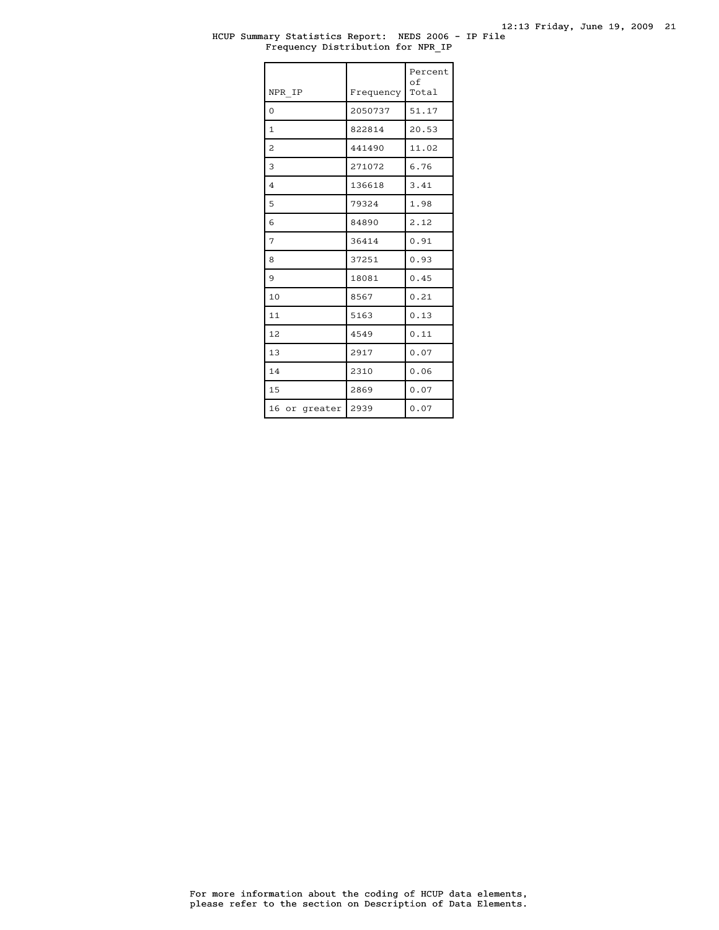### HCUP Summary Statistics Report: NEDS 2006 - IP File Frequency Distribution for NPR\_IP

| NPR IP           | Frequency | Percent<br>of<br>Total |
|------------------|-----------|------------------------|
| 0                | 2050737   | 51.17                  |
| 1                | 822814    | 20.53                  |
| 2                | 441490    | 11.02                  |
| 3                | 271072    | 6.76                   |
| $\overline{4}$   | 136618    | 3.41                   |
| 5                | 79324     | 1.98                   |
| 6                | 84890     | 2.12                   |
| 7                | 36414     | 0.91                   |
| 8                | 37251     | 0.93                   |
| 9                | 18081     | 0.45                   |
| 10               | 8567      | 0.21                   |
| 11               | 5163      | 0.13                   |
| 12               | 4549      | 0.11                   |
| 13               | 2917      | 0.07                   |
| 14               | 2310      | 0.06                   |
| 15               | 2869      | 0.07                   |
| 16<br>or greater | 2939      | 0.07                   |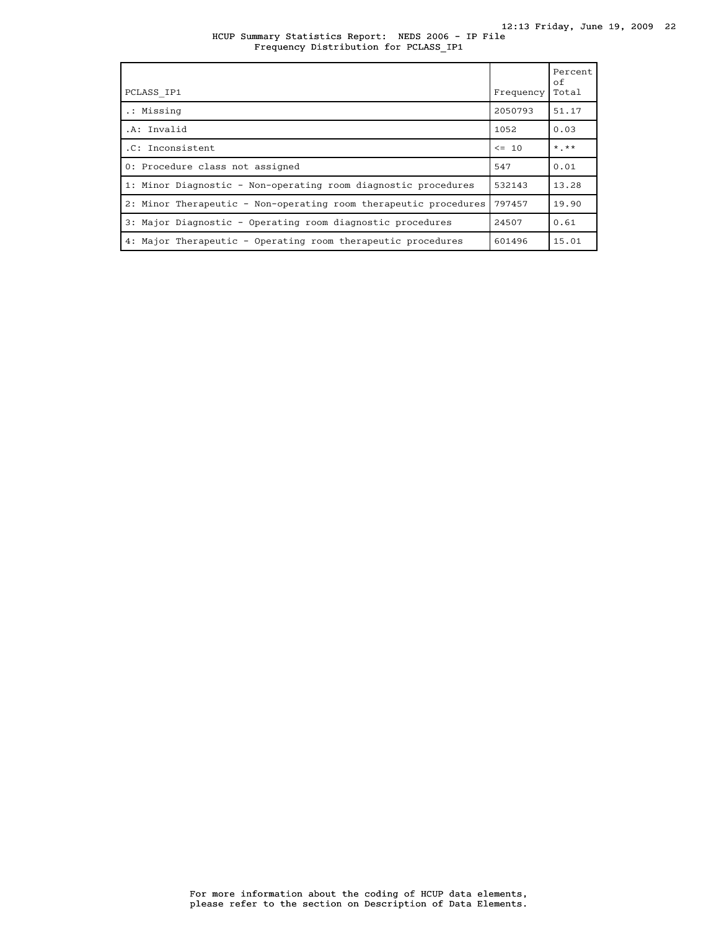HCUP Summary Statistics Report: NEDS 2006 - IP File Frequency Distribution for PCLASS\_IP1

| PCLASS IP1                                                       | Frequency | Percent<br>of<br>Total |
|------------------------------------------------------------------|-----------|------------------------|
| .: Missing                                                       | 2050793   | 51.17                  |
| .A: Invalid                                                      | 1052      | 0.03                   |
| .C: Inconsistent                                                 | $\leq$ 10 | $*$ , $**$             |
| 0: Procedure class not assigned                                  | 547       | 0.01                   |
| 1: Minor Diagnostic - Non-operating room diagnostic procedures   | 532143    | 13.28                  |
| 2: Minor Therapeutic - Non-operating room therapeutic procedures | 797457    | 19.90                  |
| 3: Major Diagnostic - Operating room diagnostic procedures       | 24507     | 0.61                   |
| 4: Major Therapeutic - Operating room therapeutic procedures     | 601496    | 15.01                  |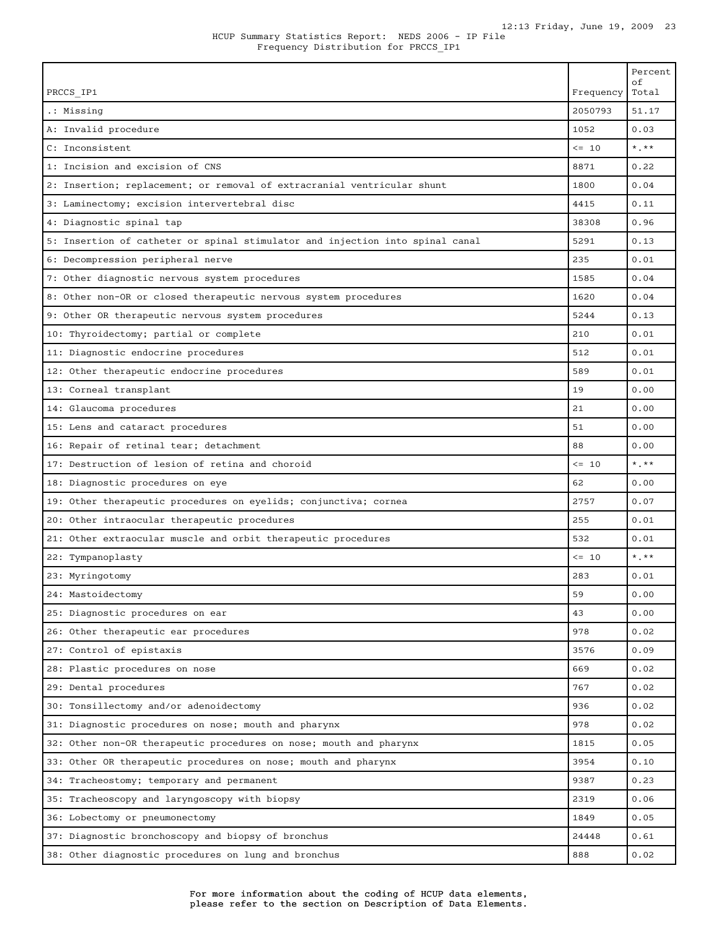| PRCCS IP1                                                                     | Frequency  | Percent<br>οf<br>Total  |
|-------------------------------------------------------------------------------|------------|-------------------------|
| .: Missing                                                                    | 2050793    | 51.17                   |
| A: Invalid procedure                                                          | 1052       | 0.03                    |
| C: Inconsistent                                                               | $\leq -10$ | $\star$ . $\star\star$  |
| 1: Incision and excision of CNS                                               | 8871       | 0.22                    |
| 2: Insertion; replacement; or removal of extracranial ventricular shunt       | 1800       | 0.04                    |
| 3: Laminectomy; excision intervertebral disc                                  | 4415       | 0.11                    |
| 4: Diagnostic spinal tap                                                      | 38308      | 0.96                    |
| 5: Insertion of catheter or spinal stimulator and injection into spinal canal | 5291       | 0.13                    |
| 6: Decompression peripheral nerve                                             | 235        | 0.01                    |
| 7: Other diagnostic nervous system procedures                                 | 1585       | 0.04                    |
| 8: Other non-OR or closed therapeutic nervous system procedures               | 1620       | 0.04                    |
| 9: Other OR therapeutic nervous system procedures                             | 5244       | 0.13                    |
| 10: Thyroidectomy; partial or complete                                        | 210        | 0.01                    |
| 11: Diagnostic endocrine procedures                                           | 512        | 0.01                    |
| 12: Other therapeutic endocrine procedures                                    | 589        | 0.01                    |
| 13: Corneal transplant                                                        | 19         | 0.00                    |
| 14: Glaucoma procedures                                                       | 21         | 0.00                    |
| 15: Lens and cataract procedures                                              | 51         | 0.00                    |
| 16: Repair of retinal tear; detachment                                        | 88         | 0.00                    |
| 17: Destruction of lesion of retina and choroid                               | $\leq -10$ | $*$ .**                 |
| 18: Diagnostic procedures on eye                                              | 62         | 0.00                    |
| 19: Other therapeutic procedures on eyelids; conjunctiva; cornea              | 2757       | 0.07                    |
| 20: Other intraocular therapeutic procedures                                  | 255        | 0.01                    |
| 21: Other extraocular muscle and orbit therapeutic procedures                 | 532        | 0.01                    |
| 22: Tympanoplasty                                                             | $\leq -10$ | $\star$ $\star$ $\star$ |
| 23: Myringotomy                                                               | 283        | 0.01                    |
| 24: Mastoidectomy                                                             | 59         | 0.00                    |
| 25: Diagnostic procedures on ear                                              | 43         | 0.00                    |
| 26: Other therapeutic ear procedures                                          | 978        | 0.02                    |
| 27: Control of epistaxis                                                      | 3576       | 0.09                    |
| 28: Plastic procedures on nose                                                | 669        | 0.02                    |
| 29: Dental procedures                                                         | 767        | 0.02                    |
| 30: Tonsillectomy and/or adenoidectomy                                        | 936        | 0.02                    |
| 31: Diagnostic procedures on nose; mouth and pharynx                          | 978        | 0.02                    |
| 32: Other non-OR therapeutic procedures on nose; mouth and pharynx            | 1815       | 0.05                    |
| 33: Other OR therapeutic procedures on nose; mouth and pharynx                | 3954       | 0.10                    |
| 34: Tracheostomy; temporary and permanent                                     | 9387       | 0.23                    |
| 35: Tracheoscopy and laryngoscopy with biopsy                                 | 2319       | 0.06                    |
| 36: Lobectomy or pneumonectomy                                                | 1849       | 0.05                    |
| 37: Diagnostic bronchoscopy and biopsy of bronchus                            | 24448      | 0.61                    |
| 38: Other diagnostic procedures on lung and bronchus                          | 888        | 0.02                    |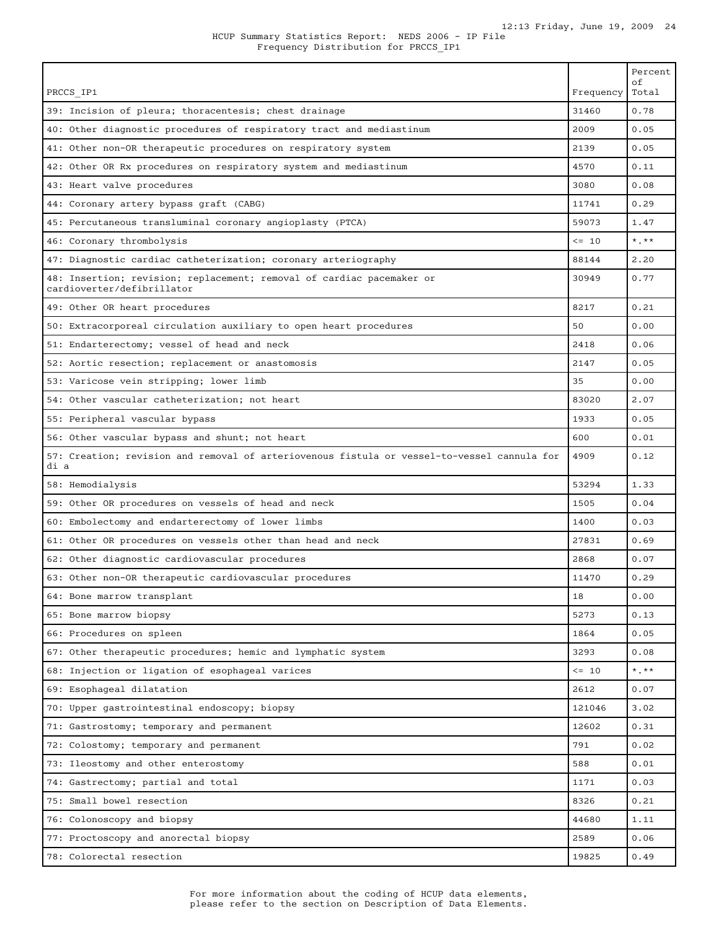| PRCCS IP1                                                                                           | Frequency  | Percent<br>оf<br>Total |
|-----------------------------------------------------------------------------------------------------|------------|------------------------|
| 39: Incision of pleura; thoracentesis; chest drainage                                               | 31460      | 0.78                   |
| 40: Other diagnostic procedures of respiratory tract and mediastinum                                | 2009       | 0.05                   |
| 41: Other non-OR therapeutic procedures on respiratory system                                       | 2139       | 0.05                   |
| 42: Other OR Rx procedures on respiratory system and mediastinum                                    | 4570       | 0.11                   |
| 43: Heart valve procedures                                                                          | 3080       | 0.08                   |
| 44: Coronary artery bypass graft (CABG)                                                             | 11741      | 0.29                   |
| 45: Percutaneous transluminal coronary angioplasty (PTCA)                                           | 59073      | 1.47                   |
| 46: Coronary thrombolysis                                                                           | $\leq$ 10  | $*$ , $**$             |
| 47: Diagnostic cardiac catheterization; coronary arteriography                                      | 88144      | 2.20                   |
| 48: Insertion; revision; replacement; removal of cardiac pacemaker or<br>cardioverter/defibrillator | 30949      | 0.77                   |
| 49: Other OR heart procedures                                                                       | 8217       | 0.21                   |
| 50: Extracorporeal circulation auxiliary to open heart procedures                                   | 50         | 0.00                   |
| 51: Endarterectomy; vessel of head and neck                                                         | 2418       | 0.06                   |
| 52: Aortic resection; replacement or anastomosis                                                    | 2147       | 0.05                   |
| 53: Varicose vein stripping; lower limb                                                             | 35         | 0.00                   |
| 54: Other vascular catheterization; not heart                                                       | 83020      | 2.07                   |
| 55: Peripheral vascular bypass                                                                      | 1933       | 0.05                   |
| 56: Other vascular bypass and shunt; not heart                                                      | 600        | 0.01                   |
| 57: Creation; revision and removal of arteriovenous fistula or vessel-to-vessel cannula for<br>di a | 4909       | 0.12                   |
| 58: Hemodialysis                                                                                    | 53294      | 1.33                   |
| 59: Other OR procedures on vessels of head and neck                                                 | 1505       | 0.04                   |
| 60: Embolectomy and endarterectomy of lower limbs                                                   | 1400       | 0.03                   |
| 61: Other OR procedures on vessels other than head and neck                                         | 27831      | 0.69                   |
| 62: Other diagnostic cardiovascular procedures                                                      | 2868       | 0.07                   |
| 63: Other non-OR therapeutic cardiovascular procedures                                              | 11470      | 0.29                   |
| 64: Bone marrow transplant                                                                          | 18         | 0.00                   |
| 65: Bone marrow biopsy                                                                              | 5273       | 0.13                   |
| 66: Procedures on spleen                                                                            | 1864       | 0.05                   |
| 67: Other therapeutic procedures; hemic and lymphatic system                                        | 3293       | 0.08                   |
| 68: Injection or ligation of esophageal varices                                                     | $\leq -10$ | $*$ $*$                |
| 69: Esophageal dilatation                                                                           | 2612       | 0.07                   |
| 70: Upper gastrointestinal endoscopy; biopsy                                                        | 121046     | 3.02                   |
| 71: Gastrostomy; temporary and permanent                                                            | 12602      | 0.31                   |
| 72: Colostomy; temporary and permanent                                                              | 791        | 0.02                   |
| 73: Ileostomy and other enterostomy                                                                 | 588        | 0.01                   |
| 74: Gastrectomy; partial and total                                                                  | 1171       | 0.03                   |
| 75: Small bowel resection                                                                           | 8326       | 0.21                   |
| 76: Colonoscopy and biopsy                                                                          | 44680      | 1.11                   |
| 77: Proctoscopy and anorectal biopsy                                                                | 2589       | 0.06                   |
| 78: Colorectal resection                                                                            | 19825      | 0.49                   |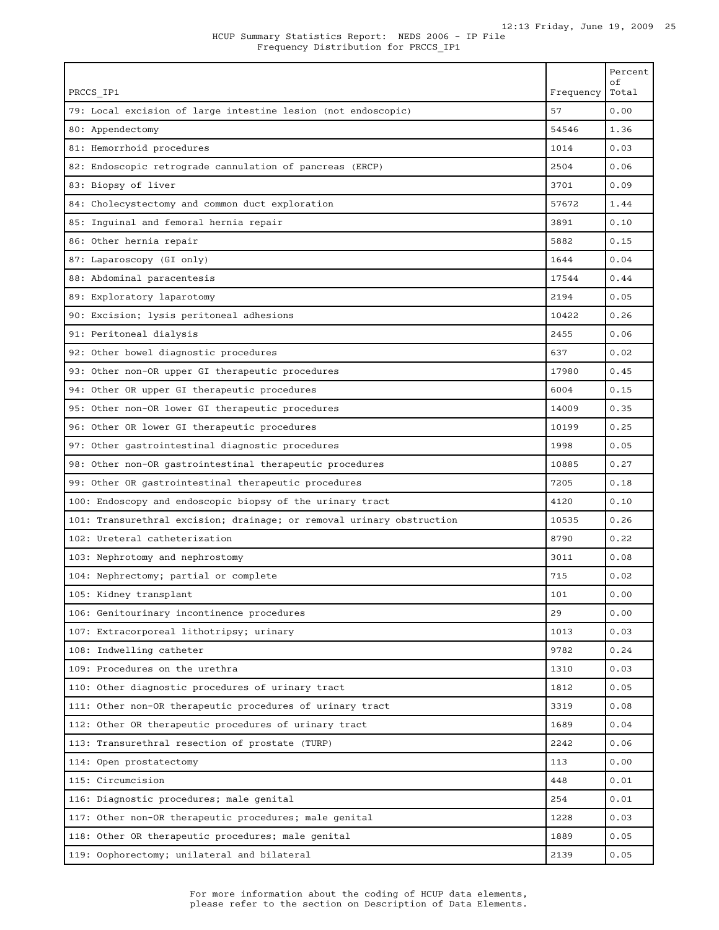| PRCCS IP1                                                             | Frequency | Percent<br>$\circ$ f<br>Total |
|-----------------------------------------------------------------------|-----------|-------------------------------|
| 79: Local excision of large intestine lesion (not endoscopic)         | 57        | 0.00                          |
| 80: Appendectomy                                                      | 54546     | 1.36                          |
| 81: Hemorrhoid procedures                                             | 1014      | 0.03                          |
| 82: Endoscopic retrograde cannulation of pancreas (ERCP)              | 2504      | 0.06                          |
| 83: Biopsy of liver                                                   | 3701      | 0.09                          |
| 84: Cholecystectomy and common duct exploration                       | 57672     | 1.44                          |
| 85: Inguinal and femoral hernia repair                                | 3891      | 0.10                          |
| 86: Other hernia repair                                               | 5882      | 0.15                          |
| 87: Laparoscopy (GI only)                                             | 1644      | 0.04                          |
| 88: Abdominal paracentesis                                            | 17544     | 0.44                          |
| 89: Exploratory laparotomy                                            | 2194      | 0.05                          |
| 90: Excision; lysis peritoneal adhesions                              | 10422     | 0.26                          |
| 91: Peritoneal dialysis                                               | 2455      | 0.06                          |
| 92: Other bowel diagnostic procedures                                 | 637       | 0.02                          |
| 93: Other non-OR upper GI therapeutic procedures                      | 17980     | 0.45                          |
| 94: Other OR upper GI therapeutic procedures                          | 6004      | 0.15                          |
| 95: Other non-OR lower GI therapeutic procedures                      | 14009     | 0.35                          |
| 96: Other OR lower GI therapeutic procedures                          | 10199     | 0.25                          |
| 97: Other gastrointestinal diagnostic procedures                      | 1998      | 0.05                          |
| 98: Other non-OR gastrointestinal therapeutic procedures              | 10885     | 0.27                          |
| 99: Other OR gastrointestinal therapeutic procedures                  | 7205      | 0.18                          |
| 100: Endoscopy and endoscopic biopsy of the urinary tract             | 4120      | 0.10                          |
| 101: Transurethral excision; drainage; or removal urinary obstruction | 10535     | 0.26                          |
| 102: Ureteral catheterization                                         | 8790      | 0.22                          |
| 103: Nephrotomy and nephrostomy                                       | 3011      | 0.08                          |
| 104: Nephrectomy; partial or complete                                 | 715       | 0.02                          |
| 105: Kidney transplant                                                | 101       | 0.00                          |
| 106: Genitourinary incontinence procedures                            | 29        | 0.00                          |
| 107: Extracorporeal lithotripsy; urinary                              | 1013      | 0.03                          |
| 108: Indwelling catheter                                              | 9782      | 0.24                          |
| 109: Procedures on the urethra                                        | 1310      | 0.03                          |
| 110: Other diagnostic procedures of urinary tract                     | 1812      | 0.05                          |
| 111: Other non-OR therapeutic procedures of urinary tract             | 3319      | 0.08                          |
| 112: Other OR therapeutic procedures of urinary tract                 | 1689      | 0.04                          |
| 113: Transurethral resection of prostate (TURP)                       | 2242      | 0.06                          |
| 114: Open prostatectomy                                               | 113       | 0.00                          |
| 115: Circumcision                                                     | 448       | 0.01                          |
| 116: Diagnostic procedures; male genital                              | 254       | 0.01                          |
| 117: Other non-OR therapeutic procedures; male genital                | 1228      | 0.03                          |
| 118: Other OR therapeutic procedures; male genital                    | 1889      | 0.05                          |
| 119: Oophorectomy; unilateral and bilateral                           | 2139      | 0.05                          |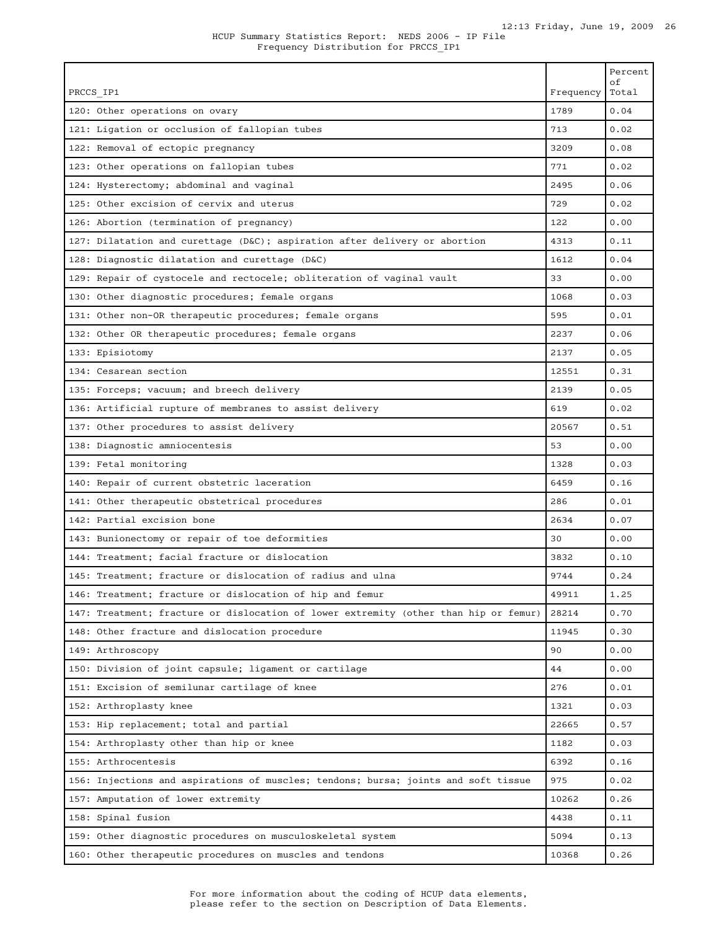| PRCCS IP1                                                                            | Frequency | Percent<br>οf<br>Total |
|--------------------------------------------------------------------------------------|-----------|------------------------|
| 120: Other operations on ovary                                                       | 1789      | 0.04                   |
| 121: Ligation or occlusion of fallopian tubes                                        | 713       | 0.02                   |
| 122: Removal of ectopic pregnancy                                                    | 3209      | 0.08                   |
| 123: Other operations on fallopian tubes                                             | 771       | 0.02                   |
| 124: Hysterectomy; abdominal and vaginal                                             | 2495      | 0.06                   |
| 125: Other excision of cervix and uterus                                             | 729       | 0.02                   |
| 126: Abortion (termination of pregnancy)                                             | 122       | 0.00                   |
| 127: Dilatation and curettage (D&C); aspiration after delivery or abortion           | 4313      | 0.11                   |
| 128: Diagnostic dilatation and curettage (D&C)                                       | 1612      | 0.04                   |
| 129: Repair of cystocele and rectocele; obliteration of vaginal vault                | 33        | 0.00                   |
| 130: Other diagnostic procedures; female organs                                      | 1068      | 0.03                   |
| 131: Other non-OR therapeutic procedures; female organs                              | 595       | 0.01                   |
| 132: Other OR therapeutic procedures; female organs                                  | 2237      | 0.06                   |
| 133: Episiotomy                                                                      | 2137      | 0.05                   |
| 134: Cesarean section                                                                | 12551     | 0.31                   |
| 135: Forceps; vacuum; and breech delivery                                            | 2139      | 0.05                   |
| 136: Artificial rupture of membranes to assist delivery                              | 619       | 0.02                   |
| 137: Other procedures to assist delivery                                             | 20567     | 0.51                   |
| 138: Diagnostic amniocentesis                                                        | 53        | 0.00                   |
| 139: Fetal monitoring                                                                | 1328      | 0.03                   |
| 140: Repair of current obstetric laceration                                          | 6459      | 0.16                   |
| 141: Other therapeutic obstetrical procedures                                        | 286       | 0.01                   |
| 142: Partial excision bone                                                           | 2634      | 0.07                   |
| 143: Bunionectomy or repair of toe deformities                                       | 30        | 0.00                   |
| 144: Treatment; facial fracture or dislocation                                       | 3832      | 0.10                   |
| 145: Treatment; fracture or dislocation of radius and ulna                           | 9744      | 0.24                   |
| 146: Treatment; fracture or dislocation of hip and femur                             | 49911     | 1.25                   |
| 147: Treatment; fracture or dislocation of lower extremity (other than hip or femur) | 28214     | 0.70                   |
| 148: Other fracture and dislocation procedure                                        | 11945     | 0.30                   |
| 149: Arthroscopy                                                                     | 90        | 0.00                   |
| 150: Division of joint capsule; ligament or cartilage                                | 44        | 0.00                   |
| 151: Excision of semilunar cartilage of knee                                         | 276       | 0.01                   |
| 152: Arthroplasty knee                                                               | 1321      | 0.03                   |
| 153: Hip replacement; total and partial                                              | 22665     | 0.57                   |
| 154: Arthroplasty other than hip or knee                                             | 1182      | 0.03                   |
| 155: Arthrocentesis                                                                  | 6392      | 0.16                   |
| 156: Injections and aspirations of muscles; tendons; bursa; joints and soft tissue   | 975       | 0.02                   |
| 157: Amputation of lower extremity                                                   | 10262     | 0.26                   |
| 158: Spinal fusion                                                                   | 4438      | 0.11                   |
| 159: Other diagnostic procedures on musculoskeletal system                           | 5094      | 0.13                   |
| 160: Other therapeutic procedures on muscles and tendons                             | 10368     | 0.26                   |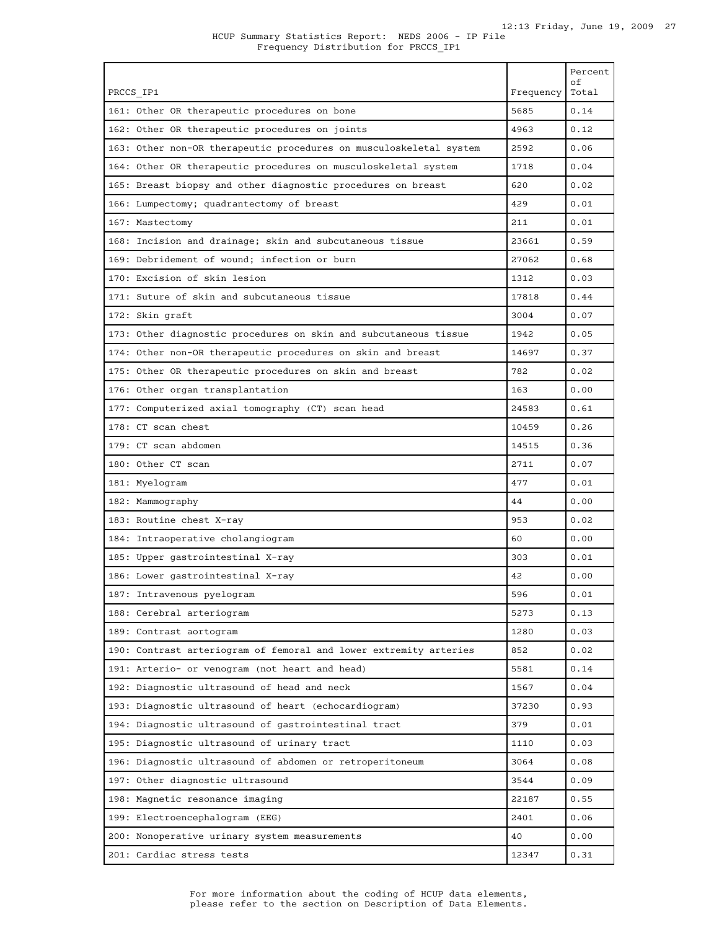|                                                                    |           | Percent<br>of |
|--------------------------------------------------------------------|-----------|---------------|
| PRCCS IP1                                                          | Frequency | Total         |
| 161: Other OR therapeutic procedures on bone                       | 5685      | 0.14          |
| 162: Other OR therapeutic procedures on joints                     | 4963      | 0.12          |
| 163: Other non-OR therapeutic procedures on musculoskeletal system | 2592      | 0.06          |
| 164: Other OR therapeutic procedures on musculoskeletal system     | 1718      | 0.04          |
| 165: Breast biopsy and other diagnostic procedures on breast       | 620       | 0.02          |
| 166: Lumpectomy; quadrantectomy of breast                          | 429       | 0.01          |
| 167: Mastectomy                                                    | 211       | 0.01          |
| 168: Incision and drainage; skin and subcutaneous tissue           | 23661     | 0.59          |
| 169: Debridement of wound; infection or burn                       | 27062     | 0.68          |
| 170: Excision of skin lesion                                       | 1312      | 0.03          |
| 171: Suture of skin and subcutaneous tissue                        | 17818     | 0.44          |
| 172: Skin graft                                                    | 3004      | 0.07          |
| 173: Other diagnostic procedures on skin and subcutaneous tissue   | 1942      | 0.05          |
| 174: Other non-OR therapeutic procedures on skin and breast        | 14697     | 0.37          |
| 175: Other OR therapeutic procedures on skin and breast            | 782       | 0.02          |
| 176: Other organ transplantation                                   | 163       | 0.00          |
| 177: Computerized axial tomography (CT) scan head                  | 24583     | 0.61          |
| 178: CT scan chest                                                 | 10459     | 0.26          |
| 179: CT scan abdomen                                               | 14515     | 0.36          |
| 180: Other CT scan                                                 | 2711      | 0.07          |
| 181: Myelogram                                                     | 477       | 0.01          |
| 182: Mammography                                                   | 44        | 0.00          |
| 183: Routine chest X-ray                                           | 953       | 0.02          |
| 184: Intraoperative cholangiogram                                  | 60        | 0.00          |
| 185: Upper gastrointestinal X-ray                                  | 303       | 0.01          |
| 186: Lower gastrointestinal X-ray                                  | 42        | 0.00          |
| 187: Intravenous pyelogram                                         | 596       | 0.01          |
| 188: Cerebral arteriogram                                          | 5273      | 0.13          |
| 189: Contrast aortogram                                            | 1280      | 0.03          |
| 190: Contrast arteriogram of femoral and lower extremity arteries  | 852       | 0.02          |
| 191: Arterio- or venogram (not heart and head)                     | 5581      | 0.14          |
| 192: Diagnostic ultrasound of head and neck                        | 1567      | 0.04          |
| 193: Diagnostic ultrasound of heart (echocardiogram)               | 37230     | 0.93          |
| 194: Diagnostic ultrasound of gastrointestinal tract               | 379       | 0.01          |
| 195: Diagnostic ultrasound of urinary tract                        | 1110      | 0.03          |
| 196: Diagnostic ultrasound of abdomen or retroperitoneum           | 3064      | 0.08          |
|                                                                    | 3544      | 0.09          |
| 197: Other diagnostic ultrasound                                   |           |               |
| 198: Magnetic resonance imaging                                    | 22187     | 0.55          |
| 199: Electroencephalogram (EEG)                                    | 2401      | 0.06          |
| 200: Nonoperative urinary system measurements                      | 40        | 0.00          |
| 201: Cardiac stress tests                                          | 12347     | 0.31          |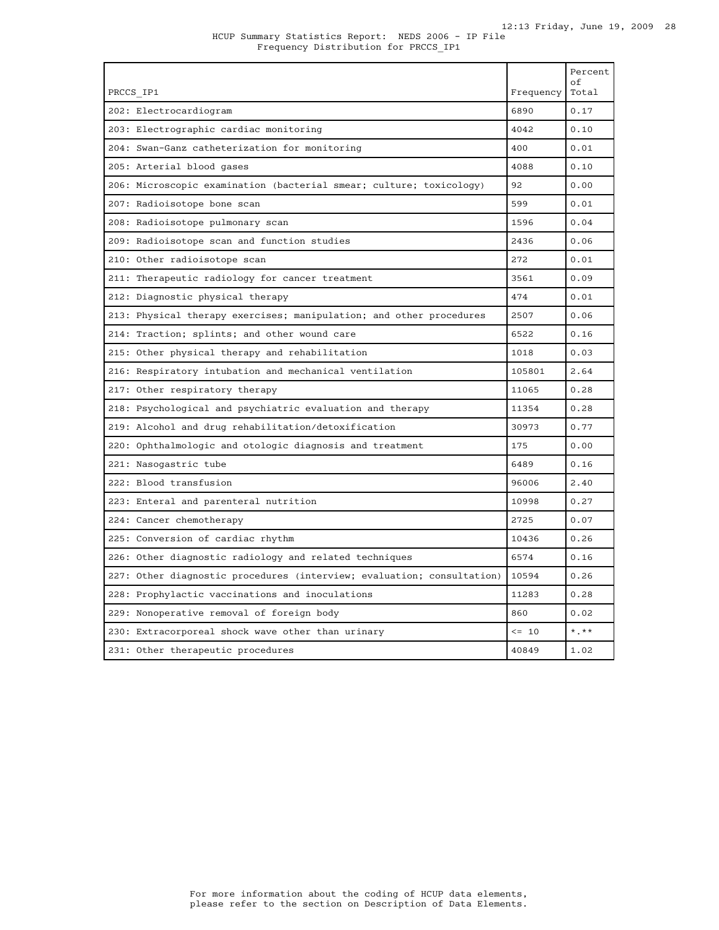| PRCCS IP1                                                              | Frequency | Percent<br>of<br>Total |
|------------------------------------------------------------------------|-----------|------------------------|
| 202: Electrocardiogram                                                 | 6890      | 0.17                   |
| 203: Electrographic cardiac monitoring                                 | 4042      | 0.10                   |
|                                                                        | 400       | 0.01                   |
| 204: Swan-Ganz catheterization for monitoring                          |           |                        |
| 205: Arterial blood gases                                              | 4088      | 0.10                   |
| 206: Microscopic examination (bacterial smear; culture; toxicology)    | 92        | 0.00                   |
| 207: Radioisotope bone scan                                            | 599       | 0.01                   |
| 208: Radioisotope pulmonary scan                                       | 1596      | 0.04                   |
| 209: Radioisotope scan and function studies                            | 2436      | 0.06                   |
| 210: Other radioisotope scan                                           | 272       | 0.01                   |
| 211: Therapeutic radiology for cancer treatment                        | 3561      | 0.09                   |
| 212: Diagnostic physical therapy                                       | 474       | 0.01                   |
| 213: Physical therapy exercises; manipulation; and other procedures    | 2507      | 0.06                   |
| 214: Traction; splints; and other wound care                           | 6522      | 0.16                   |
| 215: Other physical therapy and rehabilitation                         | 1018      | 0.03                   |
| 216: Respiratory intubation and mechanical ventilation                 | 105801    | 2.64                   |
| 217: Other respiratory therapy                                         | 11065     | 0.28                   |
| 218: Psychological and psychiatric evaluation and therapy              | 11354     | 0.28                   |
| 219: Alcohol and drug rehabilitation/detoxification                    | 30973     | 0.77                   |
| 220: Ophthalmologic and otologic diagnosis and treatment               | 175       | 0.00                   |
| 221: Nasogastric tube                                                  | 6489      | 0.16                   |
| 222: Blood transfusion                                                 | 96006     | 2.40                   |
| 223: Enteral and parenteral nutrition                                  | 10998     | 0.27                   |
| 224: Cancer chemotherapy                                               | 2725      | 0.07                   |
| 225: Conversion of cardiac rhythm                                      | 10436     | 0.26                   |
| 226: Other diagnostic radiology and related techniques                 | 6574      | 0.16                   |
| 227: Other diagnostic procedures (interview; evaluation; consultation) | 10594     | 0.26                   |
| 228: Prophylactic vaccinations and inoculations                        | 11283     | 0.28                   |
| 229: Nonoperative removal of foreign body                              | 860       | 0.02                   |
| 230: Extracorporeal shock wave other than urinary                      | $\leq$ 10 | $*$ , $**$             |
| 231: Other therapeutic procedures                                      | 40849     | 1.02                   |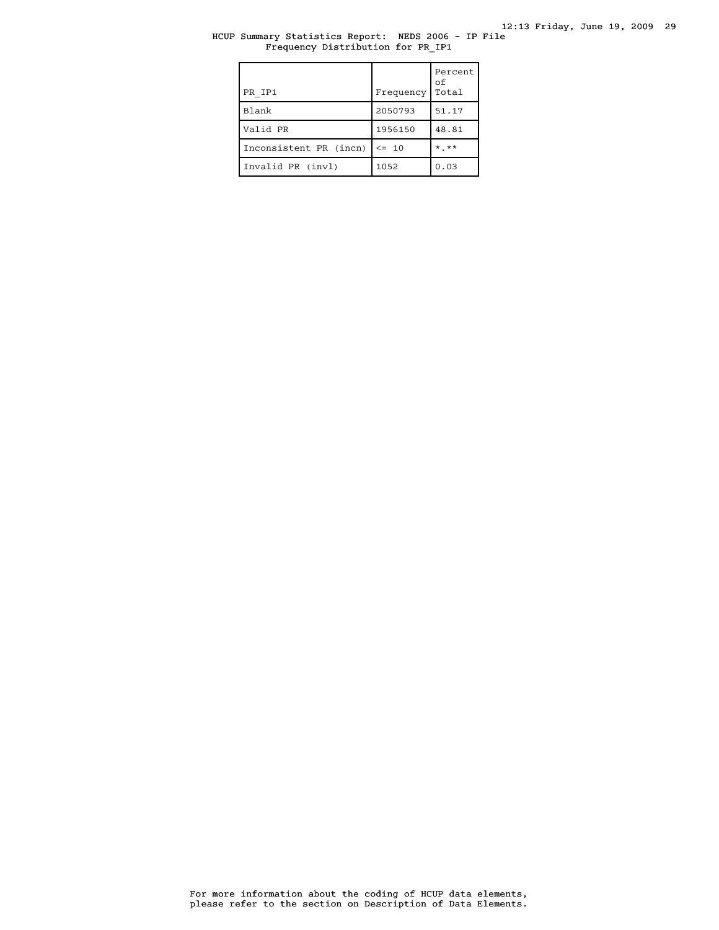## HCUP Summary Statistics Report: NEDS 2006 - IP File Frequency Distribution for PR\_IP1

| PR IP1                 | Frequency | Percent<br>οf<br>Total |
|------------------------|-----------|------------------------|
| Blank                  | 2050793   | 51.17                  |
| Valid PR               | 1956150   | 48.81                  |
| Inconsistent PR (incn) | $\leq$ 10 | $*$ **                 |
| Invalid PR (invl)      | 1052      | 0.03                   |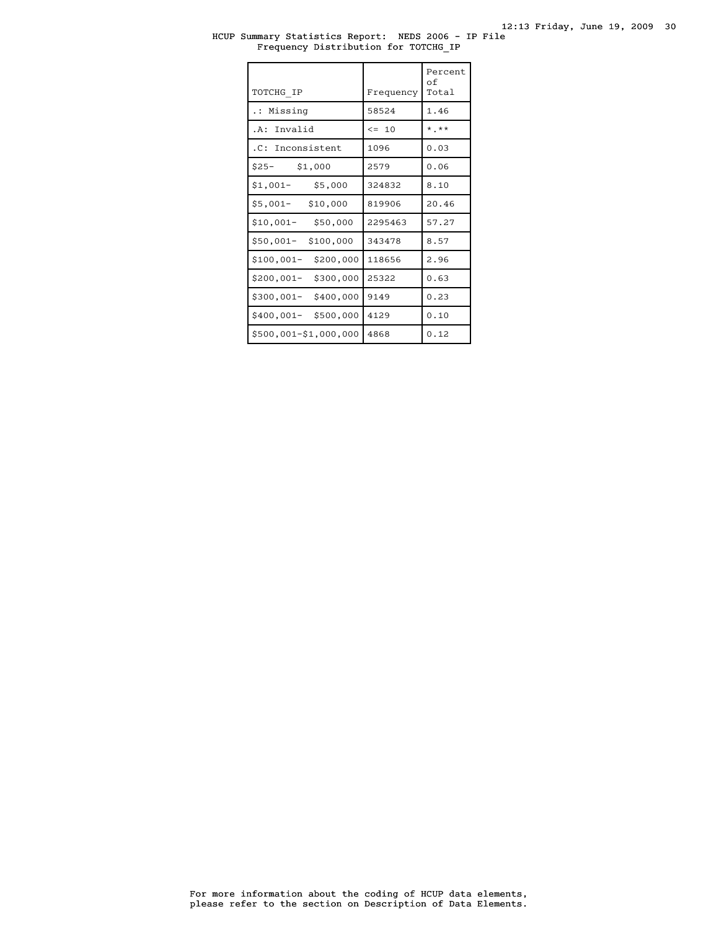## HCUP Summary Statistics Report: NEDS 2006 - IP File Frequency Distribution for TOTCHG\_IP

| TOTCHG IP               | Frequency | Percent<br>оf<br>Total |
|-------------------------|-----------|------------------------|
| .: Missing              | 58524     | 1.46                   |
| Invalid<br>. A :        | $\leq$ 10 | $*$ , $*$              |
| .C: Inconsistent        | 1096      | 0.03                   |
| $$25-$<br>\$1,000       | 2579      | 0.06                   |
| $$1,001-$<br>\$5,000    | 324832    | 8.10                   |
| $$5,001-$<br>\$10,000   | 819906    | 20.46                  |
| $$10,001-$<br>\$50,000  | 2295463   | 57.27                  |
| \$50,001-<br>\$100,000  | 343478    | 8.57                   |
| \$200,000<br>\$100,001- | 118656    | 2.96                   |
| \$300,000<br>\$200,001- | 25322     | 0.63                   |
| \$400,000<br>\$300,001- | 9149      | 0.23                   |
| \$400,001-<br>\$500,000 | 4129      | 0.10                   |
| \$500,001-\$1,000,000   | 4868      | 0.12                   |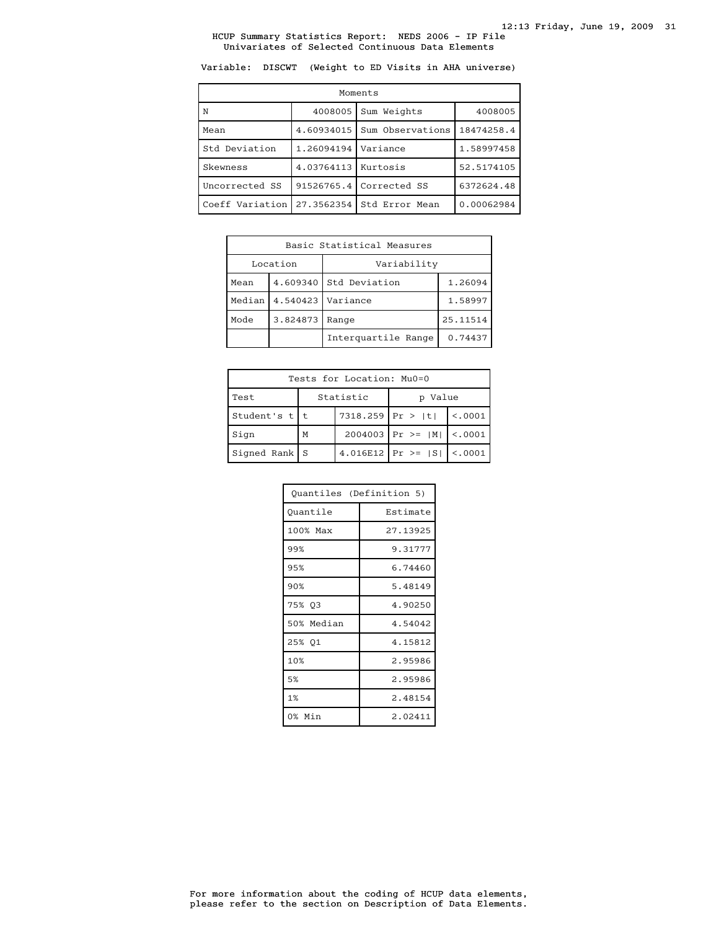Variable: DISCWT (Weight to ED Visits in AHA universe)

| Moments         |            |                  |            |  |
|-----------------|------------|------------------|------------|--|
| N               | 4008005    | Sum Weights      | 4008005    |  |
| Mean            | 4.60934015 | Sum Observations | 18474258.4 |  |
| Std Deviation   | 1.26094194 | Variance         | 1.58997458 |  |
| Skewness        | 4.03764113 | Kurtosis         | 52.5174105 |  |
| Uncorrected SS  | 91526765.4 | Corrected SS     | 6372624.48 |  |
| Coeff Variation | 27.3562354 | Std Error Mean   | 0.00062984 |  |

| Basic Statistical Measures |          |                          |         |  |
|----------------------------|----------|--------------------------|---------|--|
|                            | Location | Variability              |         |  |
| Mean                       | 4.609340 | Std Deviation<br>1.26094 |         |  |
| Median                     |          | 4.540423   Variance      | 1.58997 |  |
| Mode                       | 3.824873 | Range                    |         |  |
|                            |          | Interguartile Range      | 0.74437 |  |

| Tests for Location: Mu0=0 |                         |  |                                 |          |
|---------------------------|-------------------------|--|---------------------------------|----------|
| Test                      | Statistic<br>Value<br>D |  |                                 |          |
| Student's $t$   t         | $7318.259$ Pr >  t      |  |                                 | < 0.0001 |
| Sign                      | M                       |  | $2004003$   Pr >=  M    <.0001  |          |
| Signed Rank $S$           |                         |  | 4.016E12   Pr >= $ S $   <.0001 |          |

| Quantiles (Definition 5) |          |  |
|--------------------------|----------|--|
| Quantile                 | Estimate |  |
| 100% Max                 | 27.13925 |  |
| 99%                      | 9.31777  |  |
| 95%                      | 6.74460  |  |
| 90%                      | 5.48149  |  |
| 75% 03                   | 4.90250  |  |
| 50% Median               | 4.54042  |  |
| 25% Q1                   | 4.15812  |  |
| 10%                      | 2.95986  |  |
| 5%                       | 2.95986  |  |
| 1%                       | 2.48154  |  |
| 0% Min                   | 2.02411  |  |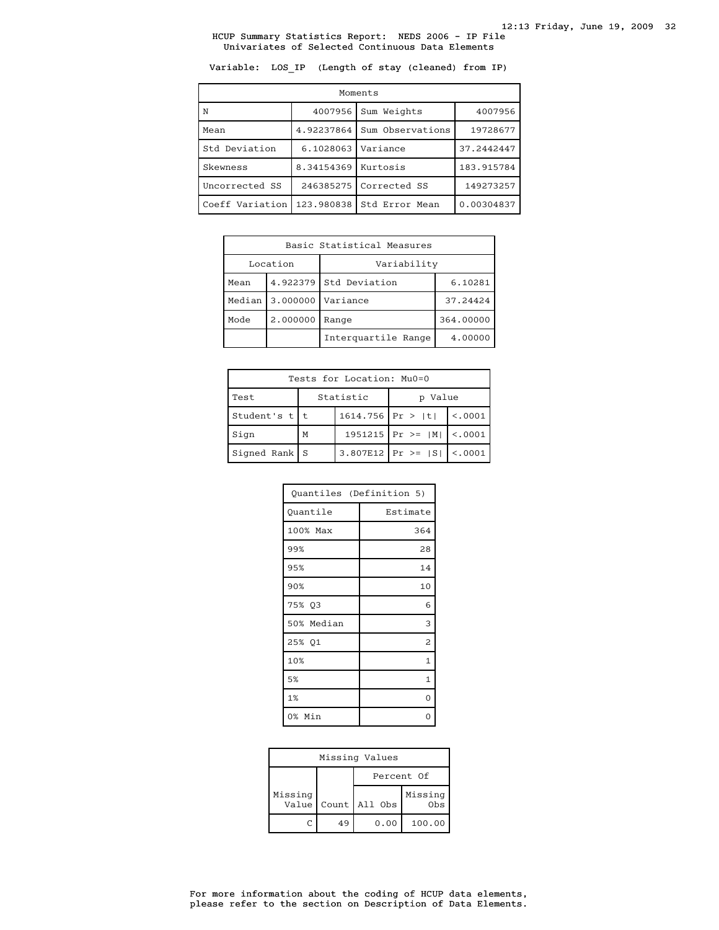Variable: LOS\_IP (Length of stay (cleaned) from IP)

| Moments         |            |                  |            |  |
|-----------------|------------|------------------|------------|--|
| N               | 4007956    | Sum Weights      | 4007956    |  |
| Mean            | 4.92237864 | Sum Observations | 19728677   |  |
| Std Deviation   | 6.1028063  | Variance         | 37.2442447 |  |
| Skewness        | 8.34154369 | Kurtosis         | 183.915784 |  |
| Uncorrected SS  | 246385275  | Corrected SS     | 149273257  |  |
| Coeff Variation | 123.980838 | Std Error Mean   | 0.00304837 |  |

| Basic Statistical Measures |          |                                   |           |  |
|----------------------------|----------|-----------------------------------|-----------|--|
| Variability<br>Location    |          |                                   |           |  |
| Mean                       |          | 4.922379 Std Deviation<br>6.10281 |           |  |
| Median                     | 3.000000 | Variance                          | 37.24424  |  |
| Mode                       | 2.000000 | Range                             | 364.00000 |  |
|                            |          | Interguartile Range               | 4.00000   |  |

| Tests for Location: Mu0=0 |                    |           |                               |          |  |
|---------------------------|--------------------|-----------|-------------------------------|----------|--|
| Test                      |                    | Statistic | Value<br>D                    |          |  |
| Student's $t$   t         | $1614.756$ Pr >  t |           |                               | < 0.0001 |  |
| Sign                      | M                  |           | $1951215$   Pr >=   M         | < 0.001  |  |
| Signed Rank $S$           |                    |           | $3.807E12$ Pr >= $ S $ <.0001 |          |  |

| Quantiles (Definition 5) |          |  |
|--------------------------|----------|--|
| Quantile                 | Estimate |  |
| 100% Max                 | 364      |  |
| 99%                      | 28       |  |
| 95%                      | 14       |  |
| 90%                      | 10       |  |
| 75% Q3                   | 6        |  |
| 50% Median               | 3        |  |
| 25% Q1                   | 2        |  |
| 10%                      | 1        |  |
| 5%                       | 1        |  |
| 1%                       | 0        |  |
| 0% Min                   |          |  |

| Missing Values   |    |               |                            |  |
|------------------|----|---------------|----------------------------|--|
|                  |    | Percent Of    |                            |  |
| Missing<br>Value |    | Count All Obs | Missing<br>0 <sub>bs</sub> |  |
|                  | 49 | 0.00          | 100.00                     |  |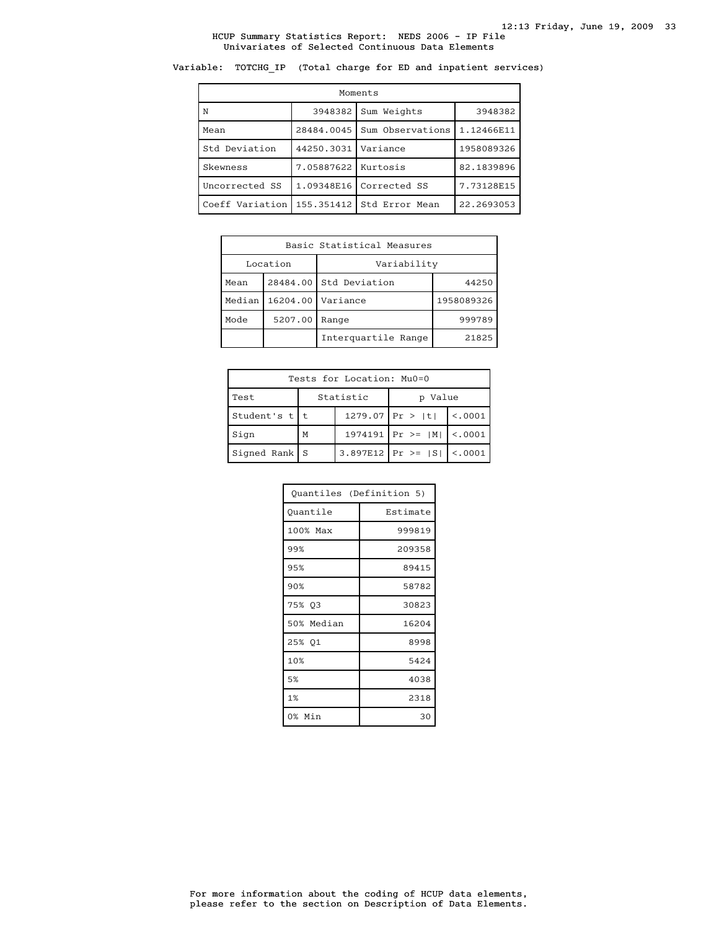# Variable: TOTCHG\_IP (Total charge for ED and inpatient services)

| Moments         |                       |                  |            |  |  |
|-----------------|-----------------------|------------------|------------|--|--|
| N               | 3948382               | Sum Weights      | 3948382    |  |  |
| Mean            | 28484.0045            | Sum Observations | 1.12466E11 |  |  |
| Std Deviation   | 44250.3031            | Variance         | 1958089326 |  |  |
| Skewness        | 7.05887622   Kurtosis |                  | 82.1839896 |  |  |
| Uncorrected SS  | 1.09348E16            | Corrected SS     | 7.73128E15 |  |  |
| Coeff Variation | 155.351412            | Std Error Mean   | 22.2693053 |  |  |

| Basic Statistical Measures |         |                        |            |  |
|----------------------------|---------|------------------------|------------|--|
| Location                   |         | Variability            |            |  |
| Mean                       |         | 28484.00 Std Deviation | 44250      |  |
| Median                     |         | 16204.00   Variance    | 1958089326 |  |
| Mode                       | 5207.00 | Range                  | 999789     |  |
|                            |         | Interguartile Range    | 21825      |  |

| Tests for Location: Mu0=0 |   |           |                                 |                |  |
|---------------------------|---|-----------|---------------------------------|----------------|--|
| Test                      |   | Statistic | p Value                         |                |  |
| Student's $t$   t         |   |           | $1279.07$ Pr >  t               | $\vert$ <.0001 |  |
| Sign                      | M |           | $1974191$ Pr >=  M   <.0001     |                |  |
| $Signal Rank$ S           |   |           | 3.897E12   Pr >= $ S $   <.0001 |                |  |

| Quantiles (Definition 5) |          |  |
|--------------------------|----------|--|
| Ouantile                 | Estimate |  |
| 100% Max                 | 999819   |  |
| 99%                      | 209358   |  |
| 95%                      | 89415    |  |
| 90%                      | 58782    |  |
| 75% Q3                   | 30823    |  |
| 50% Median               | 16204    |  |
| 25% 01                   | 8998     |  |
| 10%                      | 5424     |  |
| 5%                       | 4038     |  |
| 1%                       | 2318     |  |
| 0% Min                   | 30       |  |